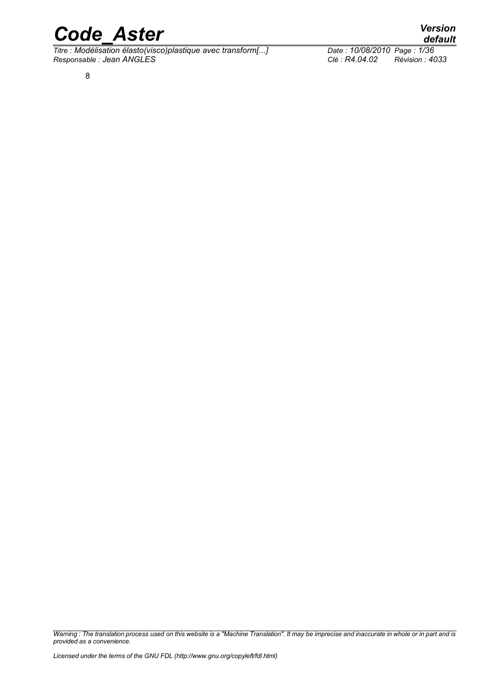*Titre : Modélisation élasto(visco)plastique avec transform[...] Date : 10/08/2010 Page : 1/36 Responsable : Jean ANGLES Clé : R4.04.02 Révision : 4033*

8

*Warning : The translation process used on this website is a "Machine Translation". It may be imprecise and inaccurate in whole or in part and is provided as a convenience.*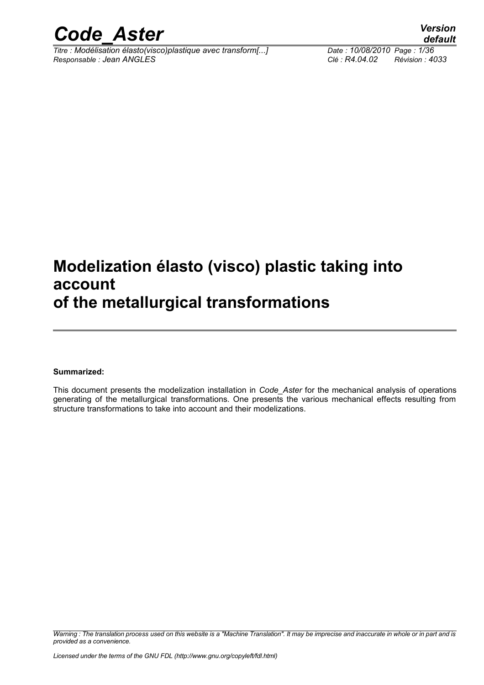

*Titre : Modélisation élasto(visco)plastique avec transform[...] Date : 10/08/2010 Page : 1/36 Responsable : Jean ANGLES Clé : R4.04.02 Révision : 4033*

### **Modelization élasto (visco) plastic taking into account of the metallurgical transformations**

#### **Summarized:**

This document presents the modelization installation in *Code\_Aster* for the mechanical analysis of operations generating of the metallurgical transformations. One presents the various mechanical effects resulting from structure transformations to take into account and their modelizations.

*Warning : The translation process used on this website is a "Machine Translation". It may be imprecise and inaccurate in whole or in part and is provided as a convenience.*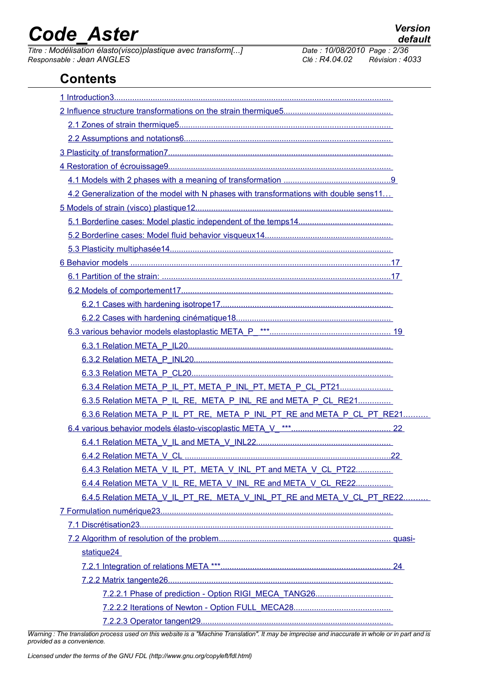**Contents**

*Titre : Modélisation élasto(visco)plastique avec transform[...] Date : 10/08/2010 Page : 2/36 Responsable : Jean ANGLES Clé : R4.04.02 Révision : 4033*

| 4.2 Generalization of the model with N phases with transformations with double sens11 |  |
|---------------------------------------------------------------------------------------|--|
|                                                                                       |  |
|                                                                                       |  |
|                                                                                       |  |
|                                                                                       |  |
|                                                                                       |  |
|                                                                                       |  |
|                                                                                       |  |
|                                                                                       |  |
|                                                                                       |  |
|                                                                                       |  |
|                                                                                       |  |
|                                                                                       |  |
|                                                                                       |  |
| 6.3.4 Relation META P IL PT, META P INL PT, META P CL PT21                            |  |
| 6.3.5 Relation META P IL RE, META P INL RE and META P CL RE21                         |  |
| 6.3.6 Relation META P IL PT RE, META P INL PT RE and META P CL PT RE21                |  |
|                                                                                       |  |
|                                                                                       |  |
|                                                                                       |  |
| 6.4.3 Relation META V IL PT, META V INL PT and META V CL PT22                         |  |
| 6.4.4 Relation META V IL RE, META V INL RE and META V CL RE22                         |  |
| 6.4.5 Relation META_V_IL_PT_RE, META_V_INL_PT_RE and META_V_CL_PT_RE22                |  |
|                                                                                       |  |
|                                                                                       |  |
|                                                                                       |  |
| statique24                                                                            |  |
|                                                                                       |  |
|                                                                                       |  |
|                                                                                       |  |
|                                                                                       |  |
|                                                                                       |  |

*Warning : The translation process used on this website is a "Machine Translation". It may be imprecise and inaccurate in whole or in part and is provided as a convenience.*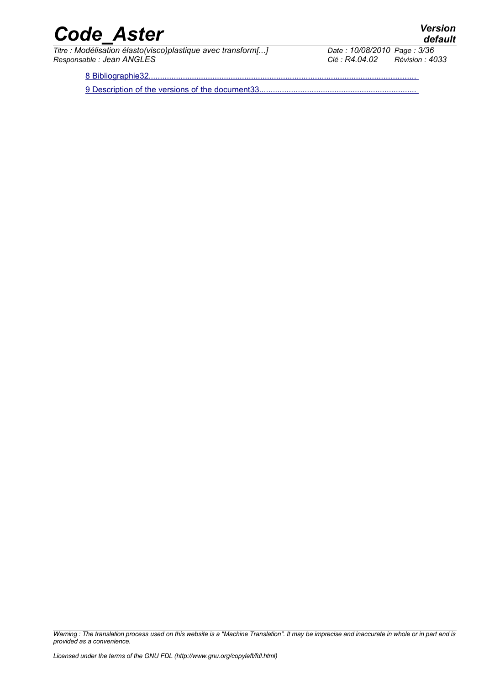*Titre : Modélisation élasto(visco)plastique avec transform[...] Date : 10/08/2010 Date : 10/08/2010 Page : 3/366 Responsable : Jean ANGLES Clé : R4.04.02 Révision : 4033*

*default*

8 Bibliographie32.

9 Description of the versions of the document33.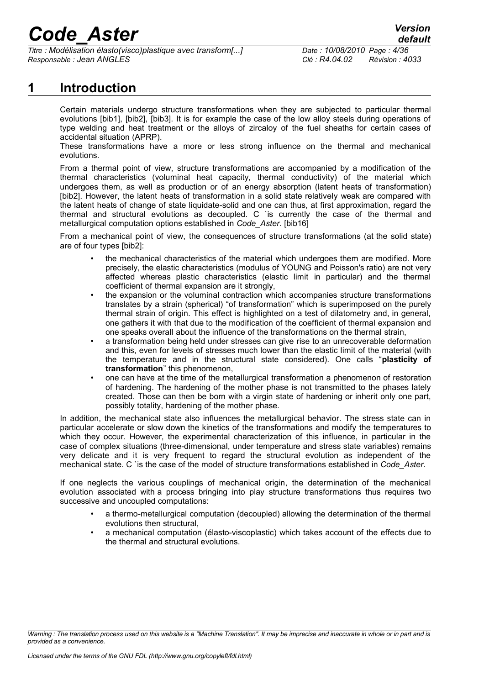*Titre : Modélisation élasto(visco)plastique avec transform[...] Date : 10/08/2010 Page : 4/36 Responsable : Jean ANGLES Clé : R4.04.02 Révision : 4033*

### **1 Introduction**

<span id="page-5-0"></span>Certain materials undergo structure transformations when they are subjected to particular thermal evolutions [bib1], [bib2], [bib3]. It is for example the case of the low alloy steels during operations of type welding and heat treatment or the alloys of zircaloy of the fuel sheaths for certain cases of accidental situation (APRP).

These transformations have a more or less strong influence on the thermal and mechanical evolutions.

From a thermal point of view, structure transformations are accompanied by a modification of the thermal characteristics (voluminal heat capacity, thermal conductivity) of the material which undergoes them, as well as production or of an energy absorption (latent heats of transformation) [bib2]. However, the latent heats of transformation in a solid state relatively weak are compared with the latent heats of change of state liquidate-solid and one can thus, at first approximation, regard the thermal and structural evolutions as decoupled. C `is currently the case of the thermal and metallurgical computation options established in *Code\_Aster*. [bib16]

From a mechanical point of view, the consequences of structure transformations (at the solid state) are of four types [bib2]:

- the mechanical characteristics of the material which undergoes them are modified. More precisely, the elastic characteristics (modulus of YOUNG and Poisson's ratio) are not very affected whereas plastic characteristics (elastic limit in particular) and the thermal coefficient of thermal expansion are it strongly,
- the expansion or the voluminal contraction which accompanies structure transformations translates by a strain (spherical) "of transformation" which is superimposed on the purely thermal strain of origin. This effect is highlighted on a test of dilatometry and, in general, one gathers it with that due to the modification of the coefficient of thermal expansion and one speaks overall about the influence of the transformations on the thermal strain,
- a transformation being held under stresses can give rise to an unrecoverable deformation and this, even for levels of stresses much lower than the elastic limit of the material (with the temperature and in the structural state considered). One calls "**plasticity of transformation**" this phenomenon,
- one can have at the time of the metallurgical transformation a phenomenon of restoration of hardening. The hardening of the mother phase is not transmitted to the phases lately created. Those can then be born with a virgin state of hardening or inherit only one part, possibly totality, hardening of the mother phase.

In addition, the mechanical state also influences the metallurgical behavior. The stress state can in particular accelerate or slow down the kinetics of the transformations and modify the temperatures to which they occur. However, the experimental characterization of this influence, in particular in the case of complex situations (three-dimensional, under temperature and stress state variables) remains very delicate and it is very frequent to regard the structural evolution as independent of the mechanical state. C `is the case of the model of structure transformations established in *Code\_Aster*.

If one neglects the various couplings of mechanical origin, the determination of the mechanical evolution associated with a process bringing into play structure transformations thus requires two successive and uncoupled computations:

- a thermo-metallurgical computation (decoupled) allowing the determination of the thermal evolutions then structural,
- a mechanical computation (élasto-viscoplastic) which takes account of the effects due to the thermal and structural evolutions.

*Warning : The translation process used on this website is a "Machine Translation". It may be imprecise and inaccurate in whole or in part and is provided as a convenience.*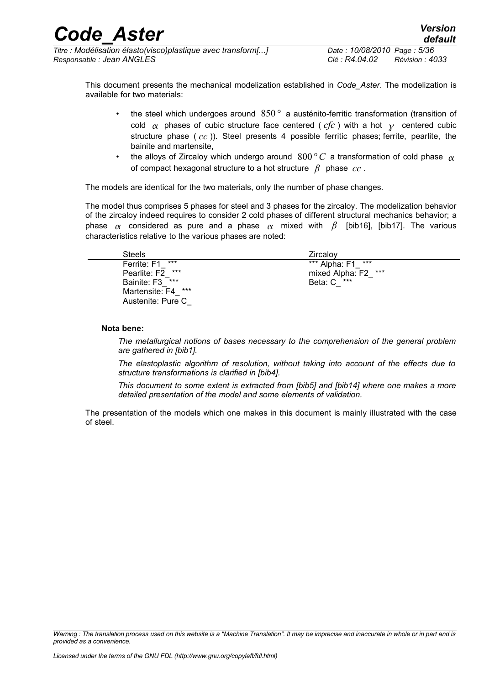*Titre : Modélisation élasto(visco)plastique avec transform[...] Date : 10/08/2010 Page : 5/36 Responsable : Jean ANGLES Clé : R4.04.02 Révision : 4033*

This document presents the mechanical modelization established in *Code\_Aster*. The modelization is available for two materials:

- the steel which undergoes around 850*°* a austénito-ferritic transformation (transition of cold  $\alpha$  phases of cubic structure face centered (  $cfc$  ) with a hot  $\gamma$  centered cubic structure phase ( *cc* )). Steel presents 4 possible ferritic phases; ferrite, pearlite, the bainite and martensite,
- the alloys of Zircaloy which undergo around  $800\degree C$  a transformation of cold phase  $\alpha$ of compact hexagonal structure to a hot structure *β* phase *cc* .

The models are identical for the two materials, only the number of phase changes.

The model thus comprises 5 phases for steel and 3 phases for the zircaloy. The modelization behavior of the zircaloy indeed requires to consider 2 cold phases of different structural mechanics behavior; a phase  $\alpha$  considered as pure and a phase  $\alpha$  mixed with  $\beta$  [bib16], [bib17]. The various characteristics relative to the various phases are noted:

| <b>Steels</b>         | Zircalov               |
|-----------------------|------------------------|
| ***<br>Ferrite: F1    | ***<br>*** Alpha: F1   |
| ***<br>Pearlite: F2   | ***<br>mixed Alpha: F2 |
| Bainite: F3 ***       | Beta: C ***            |
| ***<br>Martensite: F4 |                        |
| Austenite: Pure C     |                        |

#### **Nota bene:**

*The metallurgical notions of bases necessary to the comprehension of the general problem are gathered in [bib1].*

*The elastoplastic algorithm of resolution, without taking into account of the effects due to structure transformations is clarified in [bib4].*

*This document to some extent is extracted from [bib5] and [bib14] where one makes a more detailed presentation of the model and some elements of validation.*

The presentation of the models which one makes in this document is mainly illustrated with the case of steel.

*Warning : The translation process used on this website is a "Machine Translation". It may be imprecise and inaccurate in whole or in part and is provided as a convenience.*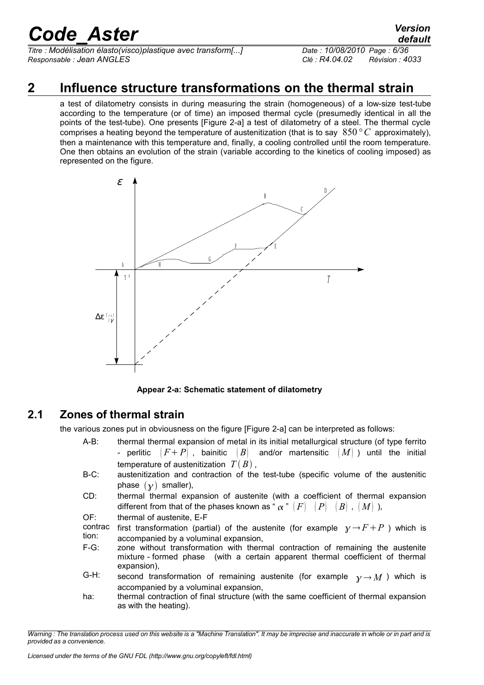*Titre : Modélisation élasto(visco)plastique avec transform[...] Date : 10/08/2010 Page : 6/36 Responsable : Jean ANGLES Clé : R4.04.02 Révision : 4033*

### **2 Influence structure transformations on the thermal strain**

<span id="page-7-1"></span>a test of dilatometry consists in during measuring the strain (homogeneous) of a low-size test-tube according to the temperature (or of time) an imposed thermal cycle (presumedly identical in all the points of the test-tube). One presents [Figure 2-a] a test of dilatometry of a steel. The thermal cycle comprises a heating beyond the temperature of austenitization (that is to say 850 *°C* approximately), then a maintenance with this temperature and, finally, a cooling controlled until the room temperature. One then obtains an evolution of the strain (variable according to the kinetics of cooling imposed) as represented on the figure.



**Appear 2-a: Schematic statement of dilatometry**

### **2.1 Zones of thermal strain**

<span id="page-7-0"></span>the various zones put in obviousness on the figure [Figure 2-a] can be interpreted as follows:

- A-B: thermal thermal expansion of metal in its initial metallurgical structure (of type ferrito - perlitic  $(F+P)$ , bainitic  $(B)$  and/or martensitic  $(M)$  ) until the initial temperature of austenitization  $T(B)$ ,
- B-C: austenitization and contraction of the test-tube (specific volume of the austenitic phase  $(\gamma)$  smaller),
- CD: thermal thermal expansion of austenite (with a coefficient of thermal expansion different from that of the phases known as " $\alpha$ "  $|F|$   $|P|$   $|B|$ ,  $|M|$ ),
- OF: thermal of austenite, E-F

contrac tion: first transformation (partial) of the austenite (for example  $\gamma \rightarrow F + P$ ) which is accompanied by a voluminal expansion,

- F-G: zone without transformation with thermal contraction of remaining the austenite mixture - formed phase (with a certain apparent thermal coefficient of thermal expansion),
- G-H: second transformation of remaining austenite (for example  $\gamma \rightarrow M$ ) which is accompanied by a voluminal expansion,
- ha: thermal contraction of final structure (with the same coefficient of thermal expansion as with the heating).

*Warning : The translation process used on this website is a "Machine Translation". It may be imprecise and inaccurate in whole or in part and is provided as a convenience.*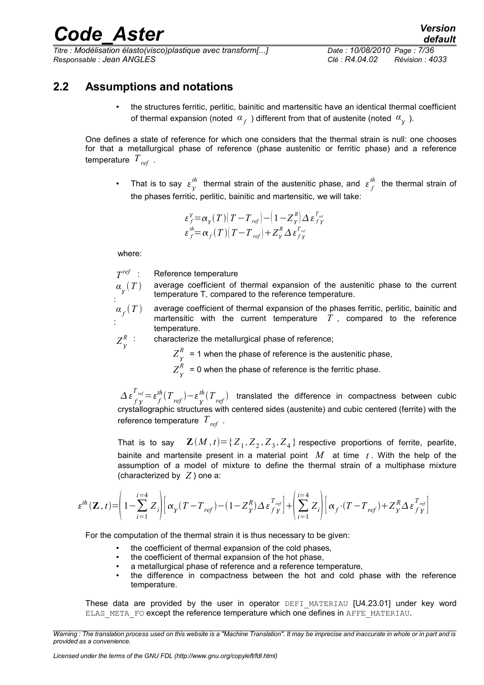*Titre : Modélisation élasto(visco)plastique avec transform[...] Date : 10/08/2010 Page : 7/36 Responsable : Jean ANGLES Clé : R4.04.02 Révision : 4033*

<span id="page-8-0"></span>**2.2 Assumptions and notations**

• the structures ferritic, perlitic, bainitic and martensitic have an identical thermal coefficient of thermal expansion (noted  $\alpha_{f}^{\parallel}$  ) different from that of austenite (noted  $\alpha_{_{\cal Y}^{\parallel}}^{\parallel}$  ).

One defines a state of reference for which one considers that the thermal strain is null: one chooses for that a metallurgical phase of reference (phase austenitic or ferritic phase) and a reference temperature *Tref* .

• That is to say  $\varepsilon_{\gamma}^{th}$  thermal strain of the austenitic phase, and  $\varepsilon_{f}^{th}$  the thermal strain of the phases ferritic, perlitic, bainitic and martensitic, we will take:

$$
\varepsilon_f^{\gamma} = \alpha_{\gamma}(T) (T - T_{ref}) - (1 - Z_{\gamma}^{R}) \Delta \varepsilon_{f\gamma}^{T_{ref}}
$$
  
\n
$$
\varepsilon_f^{\text{th}} = \alpha_f(T) (T - T_{ref}) + Z_{\gamma}^{R} \Delta \varepsilon_{f\gamma}^{T_{ref}}
$$

where:

 $T^{ref}$ : **Reference temperature** 

 $a_{\overline{\chi}}(T)$ average coefficient of thermal expansion of the austenitic phase to the current temperature T, compared to the reference temperature.

- :  $\alpha_{\overline{f}}(T)$ : average coefficient of thermal expansion of the phases ferritic, perlitic, bainitic and martensitic with the current temperature  $T$ , compared to the reference temperature.
- $Z^R_{\gamma}$ characterize the metallurgical phase of reference;

 $Z^R_{\gamma}$  $R_{\text{A}}$  = 1 when the phase of reference is the austenitic phase,

 $Z^{\scriptscriptstyle{K}}_{\gamma}$  $R_{\text{N}}$  = 0 when the phase of reference is the ferritic phase.

 $\Delta \, \epsilon \frac{T_{ref}}{f\,\gamma} \!=\! \epsilon \frac{th}{f}(T_{\,ref})\!-\!\epsilon \frac{th}{\gamma}(T_{\,ref})$  translated the difference in compactness between cubic crystallographic structures with centered sides (austenite) and cubic centered (ferrite) with the reference temperature *Tref* .

That is to say  $\quad \mathbf{Z}(M\,,t) {=} \{ {Z}_{1},{Z}_{2},{Z}_{3},{Z}_{4}\}$  respective proportions of ferrite, pearlite, bainite and martensite present in a material point *M* at time *t* . With the help of the assumption of a model of mixture to define the thermal strain of a multiphase mixture (characterized by *Z* ) one a:

$$
\varepsilon^{th}(\mathbf{Z},t)\!\!=\!\!\left(1\!-\!\sum_{i=1}^{i=4}Z_i\!\right)\!\!\left[\alpha_{\mathbf{y}}(T\!-\!T_{\mathit{ref}})\!-\!\left(1\!-\!Z_{\mathbf{y}}^R\right)\!\Delta\varepsilon_{f\,\mathbf{y}}^{T_{\mathit{ref}}}\right]\!+\!\left(\sum_{i=1}^{i=4}Z_i\!\right)\!\left[\alpha_{f}\!\cdot\!\left(T\!-\!T_{\mathit{ref}}\right)\!+\!Z_{\mathbf{y}}^R\!\Delta\varepsilon_{f\,\mathbf{y}}^{T_{\mathit{ref}}}\right]
$$

For the computation of the thermal strain it is thus necessary to be given:

- the coefficient of thermal expansion of the cold phases,
- the coefficient of thermal expansion of the hot phase.
- a metallurgical phase of reference and a reference temperature,
- the difference in compactness between the hot and cold phase with the reference temperature.

These data are provided by the user in operator DEFI MATERIAU [U4.23.01] under key word ELAS\_META\_FO except the reference temperature which one defines in AFFE\_MATERIAU.

*Warning : The translation process used on this website is a "Machine Translation". It may be imprecise and inaccurate in whole or in part and is provided as a convenience.*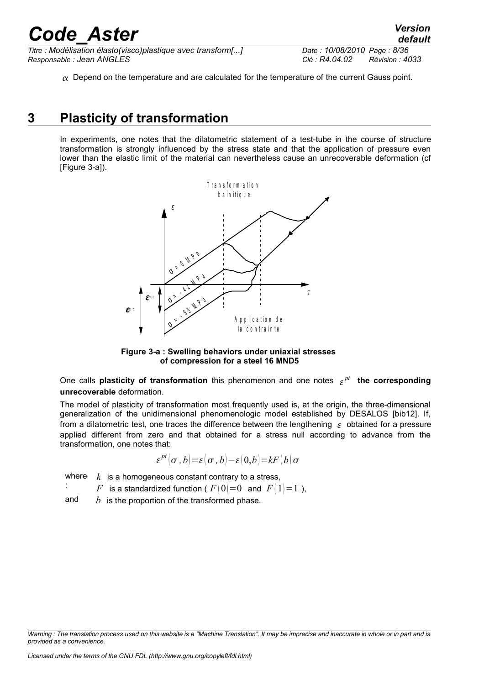*Titre : Modélisation élasto(visco)plastique avec transform[...] Date : 10/08/2010 Page : 8/36 Responsable : Jean ANGLES Clé : R4.04.02 Révision : 4033*

 $\alpha$  Depend on the temperature and are calculated for the temperature of the current Gauss point.

### **3 Plasticity of transformation**

<span id="page-9-0"></span>In experiments, one notes that the dilatometric statement of a test-tube in the course of structure transformation is strongly influenced by the stress state and that the application of pressure even lower than the elastic limit of the material can nevertheless cause an unrecoverable deformation (cf [Figure 3-a]).



**Figure 3-a : Swelling behaviors under uniaxial stresses of compression for a steel 16 MND5**

One calls **plasticity of transformation** this phenomenon and one notes  $\epsilon^{pt}$  the corresponding **unrecoverable** deformation.

The model of plasticity of transformation most frequently used is, at the origin, the three-dimensional generalization of the unidimensional phenomenologic model established by DESALOS [bib12]. If, from a dilatometric test, one traces the difference between the lengthening  $\epsilon$  obtained for a pressure applied different from zero and that obtained for a stress null according to advance from the transformation, one notes that:

$$
\varepsilon^{pt}(\sigma,b) = \varepsilon(\sigma,b) - \varepsilon(0,b) = kF(b)\sigma
$$

where  $k$  is a homogeneous constant contrary to a stress,

*F* is a standardized function (  $F(0)=0$  and  $F(1)=1$  ),

and *b* is the proportion of the transformed phase.

:

*Warning : The translation process used on this website is a "Machine Translation". It may be imprecise and inaccurate in whole or in part and is provided as a convenience.*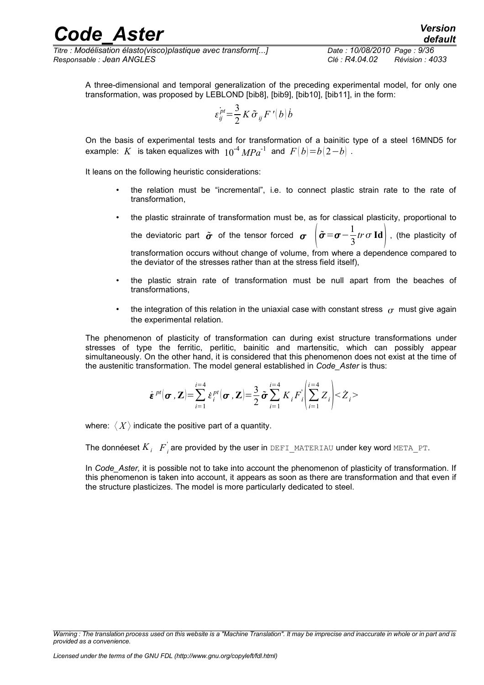*Titre : Modélisation élasto(visco)plastique avec transform[...] Date : 10/08/2010 Page : 9/36 Responsable : Jean ANGLES Clé : R4.04.02 Révision : 4033*

A three-dimensional and temporal generalization of the preceding experimental model, for only one transformation, was proposed by LEBLOND [bib8], [bib9], [bib10], [bib11], in the form:

$$
\varepsilon_{ij}^{\dot{p}t} = \frac{3}{2} K \tilde{\sigma}_{ij} F^{\prime}(b) \dot{b}
$$

On the basis of experimental tests and for transformation of a bainitic type of a steel 16MND5 for example: *K* is taken equalizes with  $10^{-4} MPa^{-1}$  and  $F(b)=b(2-b)$ .

It leans on the following heuristic considerations:

- the relation must be "incremental", i.e. to connect plastic strain rate to the rate of transformation,
- the plastic strainrate of transformation must be, as for classical plasticity, proportional to  $\tilde{\sigma} = \sigma - \frac{1}{2}$

the deviatoric part  $\tilde{\sigma}$  of the tensor forced  $\sigma$  $\frac{1}{3}$ *tr*  $\sigma$  **Id**  $\Big|$  , (the plasticity of transformation occurs without change of volume, from where a dependence compared to

the deviator of the stresses rather than at the stress field itself),

- the plastic strain rate of transformation must be null apart from the beaches of transformations,
- the integration of this relation in the uniaxial case with constant stress  $\sigma$  must give again the experimental relation.

The phenomenon of plasticity of transformation can during exist structure transformations under stresses of type the ferritic, perlitic, bainitic and martensitic, which can possibly appear simultaneously. On the other hand, it is considered that this phenomenon does not exist at the time of the austenitic transformation. The model general established in *Code\_Aster* is thus:

$$
\dot{\boldsymbol{\varepsilon}}^{pt}(\boldsymbol{\sigma},\mathbf{Z})=\sum_{i=1}^{i=4}\dot{\boldsymbol{\varepsilon}}_i^{pt}(\boldsymbol{\sigma},\mathbf{Z})=\frac{3}{2}\tilde{\boldsymbol{\sigma}}\sum_{i=1}^{i=4}K_iF_i'\left(\sum_{i=1}^{i=4}Z_i\right)<\dot{Z}_i>
$$

where:  $\langle X \rangle$  indicate the positive part of a quantity.

The donnéeset  $K_{i}\left\|F^{'}_{i}\right.$  are provided by the user in <code>DEFI\_MATERIAU</code> under key word <code>META\_PT.</code>

In *Code\_Aster,* it is possible not to take into account the phenomenon of plasticity of transformation. If this phenomenon is taken into account, it appears as soon as there are transformation and that even if the structure plasticizes. The model is more particularly dedicated to steel.

*Warning : The translation process used on this website is a "Machine Translation". It may be imprecise and inaccurate in whole or in part and is provided as a convenience.*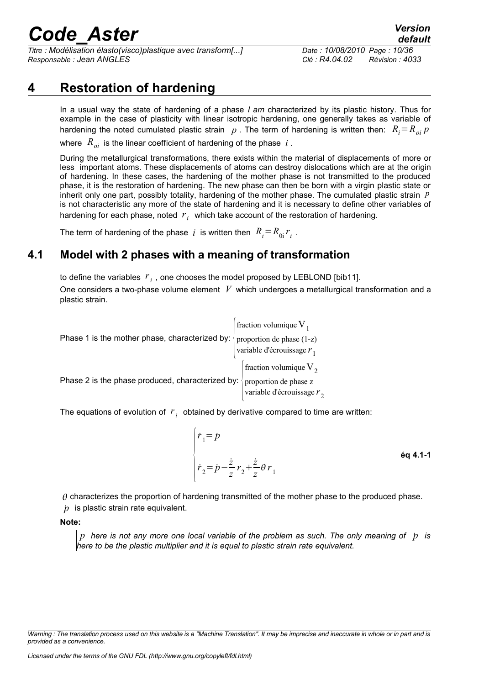*Titre : Modélisation élasto(visco)plastique avec transform[...] Date : 10/08/2010 Page : 10/36 Responsable : Jean ANGLES Clé : R4.04.02 Révision : 4033*

### **4 Restoration of hardening**

<span id="page-11-1"></span>In a usual way the state of hardening of a phase *I am* characterized by its plastic history. Thus for example in the case of plasticity with linear isotropic hardening, one generally takes as variable of hardening the noted cumulated plastic strain  $p$ . The term of hardening is written then:  $R_i = R_{oi} p$ where  $R_{oi}$  is the linear coefficient of hardening of the phase *i*.

During the metallurgical transformations, there exists within the material of displacements of more or less important atoms. These displacements of atoms can destroy dislocations which are at the origin of hardening. In these cases, the hardening of the mother phase is not transmitted to the produced phase, it is the restoration of hardening. The new phase can then be born with a virgin plastic state or inherit only one part, possibly totality, hardening of the mother phase. The cumulated plastic strain *p* is not characteristic any more of the state of hardening and it is necessary to define other variables of hardening for each phase, noted  $r_i$  which take account of the restoration of hardening.

<span id="page-11-0"></span>The term of hardening of the phase  $i$  is written then  $R_{i}$   $=$   $R_{0i}$   $r_{i}$  .

### **4.1 Model with 2 phases with a meaning of transformation**

to define the variables  $|r_{\hat{i}}\rangle$ , one chooses the model proposed by LEBLOND [bib11]. One considers a two-phase volume element *V* which undergoes a metallurgical transformation and a plastic strain.

|                                                  | fraction volumique $V_1$ |                                                           |
|--------------------------------------------------|--------------------------|-----------------------------------------------------------|
| Phase 1 is the mother phase, characterized by:   |                          | proportion de phase (1-z)<br>variable d'écrouissage $r_1$ |
|                                                  |                          | fraction volumique $V_2$                                  |
| Phase 2 is the phase produced, characterized by: |                          | proportion de phase z<br>variable d'écrouissage $r_2$     |

The equations of evolution of  $|r_i|$  obtained by derivative compared to time are written:

$$
\begin{cases}\n\dot{r}_1 = \dot{p} \\
\dot{r}_2 = \dot{p} - \frac{\dot{z}}{z} r_2 + \frac{\dot{z}}{z} \theta r_1\n\end{cases}
$$

 $\theta$  characterizes the proportion of hardening transmitted of the mother phase to the produced phase. ˙*p* is plastic strain rate equivalent.

**Note:**

*p here is not any more one local variable of the problem as such. The only meaning of* ˙*p is here to be the plastic multiplier and it is equal to plastic strain rate equivalent.*

*Warning : The translation process used on this website is a "Machine Translation". It may be imprecise and inaccurate in whole or in part and is provided as a convenience.*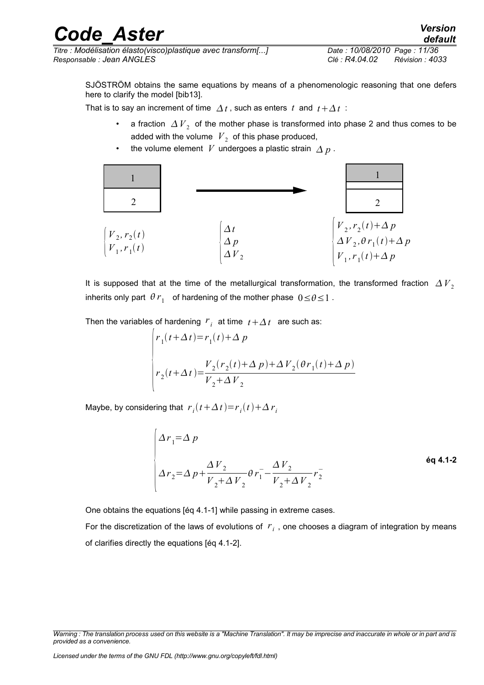*Titre : Modélisation élasto(visco)plastique avec transform[...] Date : 10/08/2010 Page : 11/36 Responsable : Jean ANGLES Clé : R4.04.02 Révision : 4033*

SJÖSTRÖM obtains the same equations by means of a phenomenologic reasoning that one defers here to clarify the model [bib13].

That is to say an increment of time  $\Delta t$ , such as enters t and  $t + \Delta t$ :

- a fraction  $\varDelta \, \overline{V}_2$  of the mother phase is transformed into phase 2 and thus comes to be added with the volume  $|V_{2}|$  of this phase produced,
- the volume element *V* undergoes a plastic strain  $\Delta p$ .



It is supposed that at the time of the metallurgical transformation, the transformed fraction  $\Delta V<sub>2</sub>$ inherits only part  $\theta r_1$  of hardening of the mother phase  $0 \le \theta \le 1$ .

Then the variables of hardening  $r_{\hat{i}}$  at time  $t + \Delta t$  are such as:

$$
\begin{cases}\nr_1(t+\Delta t) = r_1(t) + \Delta p \\
r_2(t+\Delta t) = \frac{V_2(r_2(t)+\Delta p) + \Delta V_2(\theta r_1(t)+\Delta p)}{V_2 + \Delta V_2}\n\end{cases}
$$

Maybe, by considering that  $r_i(t + \Delta t) = r_i(t) + \Delta r_i$ 

$$
\Delta r_1 = \Delta p
$$
  
\n
$$
\Delta r_2 = \Delta p + \frac{\Delta V_2}{V_2 + \Delta V_2} \theta r_1 - \frac{\Delta V_2}{V_2 + \Delta V_2} r_2
$$

One obtains the equations [éq 4.1-1] while passing in extreme cases.

For the discretization of the laws of evolutions of *r<sup>i</sup>* , one chooses a diagram of integration by means of clarifies directly the equations [éq 4.1-2].

*Warning : The translation process used on this website is a "Machine Translation". It may be imprecise and inaccurate in whole or in part and is provided as a convenience.*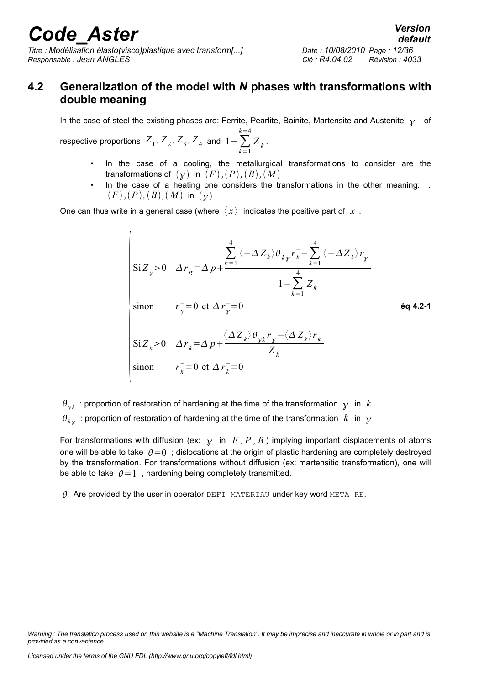*Titre : Modélisation élasto(visco)plastique avec transform[...] Date : 10/08/2010 Page : 12/36 Responsable : Jean ANGLES Clé : R4.04.02 Révision : 4033*

### <span id="page-13-0"></span>**4.2 Generalization of the model with** *N* **phases with transformations with double meaning**

In the case of steel the existing phases are: Ferrite, Pearlite, Bainite, Martensite and Austenite  $\gamma$  of

 $\sum_{k=1}^{\infty}$  *Z*<sub>1</sub>, *Z*<sub>2</sub>, *Z*<sub>3</sub>, *Z*<sub>4</sub> and  $1-\sum_{k=1}^{\infty}$ *k*=4  $Z_k$ .

- In the case of a cooling, the metallurgical transformations to consider are the transformations of  $(\gamma)$  in  $(F)$ *,* $(P)$ *,* $(B)$ *,* $(M)$ *.*
- In the case of a heating one considers the transformations in the other meaning: .  $(F)$ *,*  $(P)$ *,*  $(B)$ *,*  $(M)$  in  $(\gamma)$

One can thus write in a general case (where  $\langle x \rangle$  indicates the positive part of  $x$ .

 $\int$ SiZ<sub>k</sub>>0  $\Delta r_k = \Delta p +$  $\text{Si } Z_{\gamma} > 0 \quad \Delta r_{g} = \Delta p +$  $\sum_{k=1}$ 4  $\langle −\Delta Z_k \rangle \theta_{ky} r_k^- - \sum_{k=1}$ 4  $\langle -\Delta Z_{k}^{}\rangle r_{\gamma}^{-}$ —<br>− <sup>1</sup>−∑ *k*=1 4 *Zk* sinon  $r_y^0 = 0$  et  $\Delta r_y^0 = 0$  $\langle \Delta Z_{k} \rangle \theta_{\gamma k} r_{\gamma}^{-} - \langle \Delta Z_{k} \rangle r_{k}^{-}$ − *Z k* sinon  $r_k^- = 0$  et  $\Delta r_k^- = 0$ **éq 4.2-1**

 $\theta_{_{\chi k}}$  : proportion of restoration of hardening at the time of the transformation  $\ _{Y}$  in  $\ k$  $\theta_{k_\mathcal{Y}}$  : proportion of restoration of hardening at the time of the transformation  $|k|$  in  $|{\mathcal{Y}}|$ 

For transformations with diffusion (ex:  $\gamma$  in *F*, *P*, *B*) implying important displacements of atoms one will be able to take  $\theta=0$ ; dislocations at the origin of plastic hardening are completely destroyed by the transformation. For transformations without diffusion (ex: martensitic transformation), one will be able to take  $\theta = 1$ , hardening being completely transmitted.

 $\theta$  Are provided by the user in operator DEFI\_MATERIAU under key word META\_RE.

*Licensed under the terms of the GNU FDL (http://www.gnu.org/copyleft/fdl.html)*

*default*

*Warning : The translation process used on this website is a "Machine Translation". It may be imprecise and inaccurate in whole or in part and is provided as a convenience.*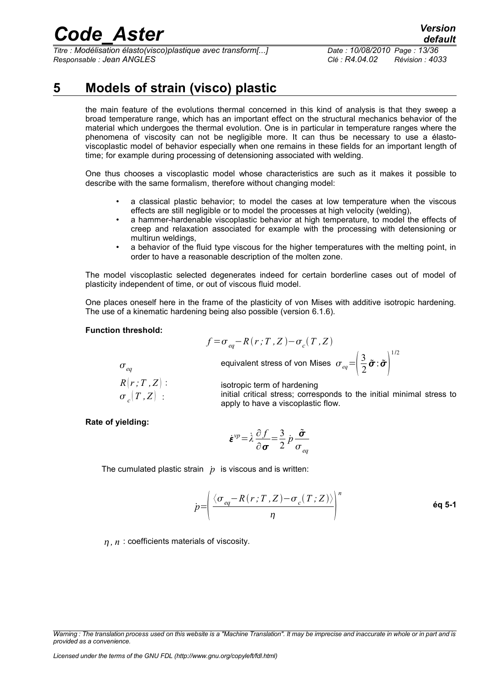*Titre : Modélisation élasto(visco)plastique avec transform[...] Date : 10/08/2010 Page : 13/36 Responsable : Jean ANGLES Clé : R4.04.02 Révision : 4033*

### **5 Models of strain (visco) plastic**

<span id="page-14-0"></span>the main feature of the evolutions thermal concerned in this kind of analysis is that they sweep a broad temperature range, which has an important effect on the structural mechanics behavior of the material which undergoes the thermal evolution. One is in particular in temperature ranges where the phenomena of viscosity can not be negligible more. It can thus be necessary to use a élastoviscoplastic model of behavior especially when one remains in these fields for an important length of time; for example during processing of detensioning associated with welding.

One thus chooses a viscoplastic model whose characteristics are such as it makes it possible to describe with the same formalism, therefore without changing model:

- a classical plastic behavior; to model the cases at low temperature when the viscous effects are still negligible or to model the processes at high velocity (welding),
- a hammer-hardenable viscoplastic behavior at high temperature, to model the effects of creep and relaxation associated for example with the processing with detensioning or multirun weldings,
- a behavior of the fluid type viscous for the higher temperatures with the melting point, in order to have a reasonable description of the molten zone.

The model viscoplastic selected degenerates indeed for certain borderline cases out of model of plasticity independent of time, or out of viscous fluid model.

One places oneself here in the frame of the plasticity of von Mises with additive isotropic hardening. The use of a kinematic hardening being also possible (version 6.1.6).

#### **Function threshold:**

$$
f\!=\!\sigma_{eq}\!-\!R(r;T,Z)\!-\!\sigma_c(T,Z)
$$

equivalent stress of von

$$
c^{(1,2)}
$$
  
 
$$
\mathsf{Mises} \ \sigma_{eq} = \left(\frac{3}{2}\tilde{\boldsymbol{\sigma}}:\tilde{\boldsymbol{\sigma}}\right)^{1/2}
$$

 $\sigma_{eq}$  $R[r;T,Z]$ :  $\sigma$ <sub>c</sub> $(T,Z)$  :

isotropic term of hardening

initial critical stress; corresponds to the initial minimal stress to apply to have a viscoplastic flow.

**Rate of yielding:**

$$
\dot{\boldsymbol{\varepsilon}}^{\nu p} = \dot{\lambda} \frac{\partial f}{\partial \boldsymbol{\sigma}} = \frac{3}{2} \dot{p} \frac{\tilde{\boldsymbol{\sigma}}}{\sigma_{eq}}
$$

The cumulated plastic strain  $\dot{p}$  is viscous and is written:

$$
\dot{p} = \left(\frac{\langle \sigma_{eq} - R(r;T,Z) - \sigma_c(T;Z)\rangle}{\eta}\right)^n
$$

*, n* : coefficients materials of viscosity.

*Warning : The translation process used on this website is a "Machine Translation". It may be imprecise and inaccurate in whole or in part and is provided as a convenience.*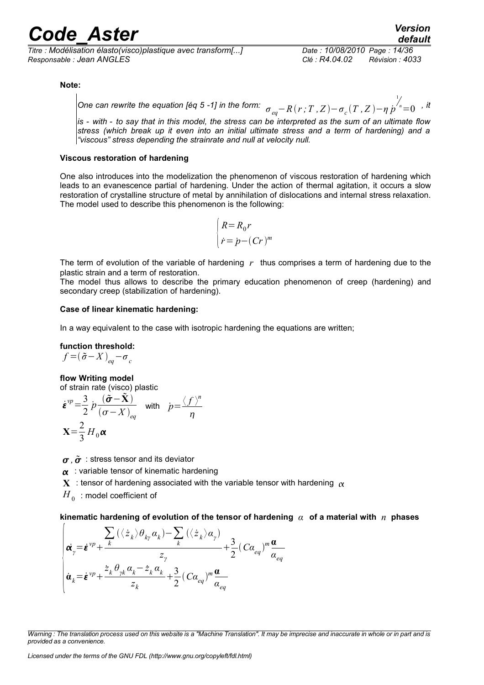*Titre : Modélisation élasto(visco)plastique avec transform[...] Date : 10/08/2010 Page : 14/36 Responsable : Jean ANGLES Clé : R4.04.02 Révision : 4033*

### *default*

#### **Note:**

*One can rewrite the equation [éq 5 -1] in the form:*  $\sigma_{eq}$ *−* $R$  *(*  $r$  *;*  $T$  *,*  $Z$  *)−*  $\sigma_{c}$  *(*  $T$  *,*  $Z$  *)−* $\eta$  $p$ 1  $n=0$ , it

*is - with - to say that in this model, the stress can be interpreted as the sum of an ultimate flow stress (which break up it even into an initial ultimate stress and a term of hardening) and a "viscous" stress depending the strainrate and null at velocity null.*

#### **Viscous restoration of hardening**

One also introduces into the modelization the phenomenon of viscous restoration of hardening which leads to an evanescence partial of hardening. Under the action of thermal agitation, it occurs a slow restoration of crystalline structure of metal by annihilation of dislocations and internal stress relaxation. The model used to describe this phenomenon is the following:

$$
\begin{cases}\nR = R_0 r \\
\dot{r} = \dot{p} - (Cr)^m\n\end{cases}
$$

The term of evolution of the variable of hardening *r* thus comprises a term of hardening due to the plastic strain and a term of restoration.

The model thus allows to describe the primary education phenomenon of creep (hardening) and secondary creep (stabilization of hardening).

#### **Case of linear kinematic hardening:**

In a way equivalent to the case with isotropic hardening the equations are written;

#### **function threshold:**

$$
f = (\tilde{\sigma} - X)_{eq} - \sigma_c
$$

#### **flow Writing model**

of strain rate (visco) plastic

$$
\dot{\boldsymbol{\varepsilon}}^{vp} = \frac{3}{2} p \frac{(\tilde{\boldsymbol{\sigma}} - \tilde{\mathbf{X}})}{(\boldsymbol{\sigma} - \boldsymbol{X})_{eq}} \quad \text{with} \quad p = \frac{\langle f \rangle^n}{\eta}
$$

$$
\mathbf{X} = \frac{2}{3} H_0 \boldsymbol{\alpha}
$$

 $\sigma$ ,  $\tilde{\sigma}$  : stress tensor and its deviator

 $\alpha$ : variable tensor of kinematic hardening

**X** : tensor of hardening associated with the variable tensor with hardening  $\alpha$ 

 ${H}_{\rm 0\, }$  : model coefficient of

**kinematic hardening of evolution of the tensor of hardening** *α* **of a material with** *n* **phases**

$$
\begin{pmatrix}\n\dot{\mathbf{a}}_{y} = \dot{\boldsymbol{\varepsilon}}^{vp} + \frac{\sum_{k} (\langle z_{k} \rangle \theta_{ky} \alpha_{k}) - \sum_{k} (\langle z_{k} \rangle \alpha_{y})}{z_{y}} + \frac{3}{2} (C \alpha_{eq})^{m} \frac{\alpha}{\alpha_{eq}} \\
\dot{\mathbf{a}}_{k} = \dot{\boldsymbol{\varepsilon}}^{vp} + \frac{z_{k} \theta_{yk} \alpha_{k} - \dot{z}_{k} \alpha_{k}}{z_{k}} + \frac{3}{2} (C \alpha_{eq})^{m} \frac{\alpha}{\alpha_{eq}}\n\end{pmatrix}
$$

*Warning : The translation process used on this website is a "Machine Translation". It may be imprecise and inaccurate in whole or in part and is provided as a convenience.*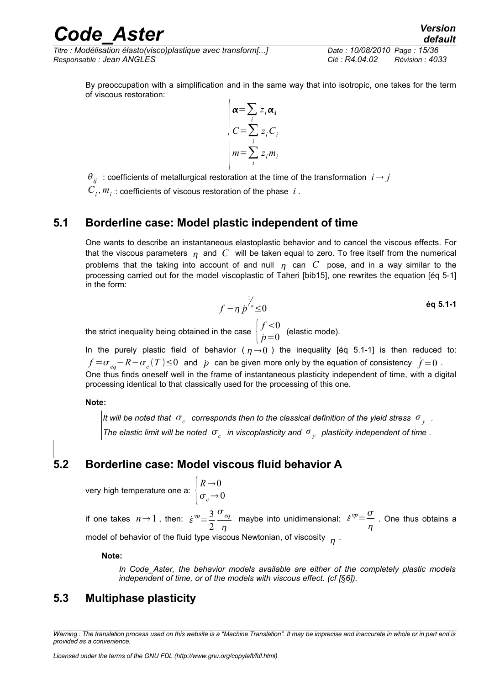*Titre : Modélisation élasto(visco)plastique avec transform[...] Date : 10/08/2010 Page : 15/36 Responsable : Jean ANGLES Clé : R4.04.02 Révision : 4033*

By preoccupation with a simplification and in the same way that into isotropic, one takes for the term of viscous restoration:

$$
\begin{cases}\n\alpha = \sum_{i} z_i \alpha_i \\
C = \sum_{i} z_i C_i \\
m = \sum_{i} z_i m_i\n\end{cases}
$$

 $\theta_{ij}$ : coefficients of metallurgical restoration at the time of the transformation  $i \rightarrow j$ 

 $C_i$ ,  $m_i$  : coefficients of viscous restoration of the phase  $|i\rangle$ .

### **5.1 Borderline case: Model plastic independent of time**

<span id="page-16-2"></span>One wants to describe an instantaneous elastoplastic behavior and to cancel the viscous effects. For that the viscous parameters  $n_1$  and  $C$  will be taken equal to zero. To free itself from the numerical problems that the taking into account of and null  $\eta$  can  $C$  pose, and in a way similar to the processing carried out for the model viscoplastic of Taheri [bib15], one rewrites the equation [éq 5-1] in the form:

$$
f - \eta \stackrel{\rightarrow}{p}^{\prime\prime} \leq 0 \qquad \qquad \text{6q 5.1-1}
$$

the strict inequality being obtained in the case  $\begin{bmatrix} J \ \dot{L} \end{bmatrix}$  $f < 0$  $\stackrel{\sim}{p}=0$  (elastic mode).

In the purely plastic field of behavior ( $\eta \rightarrow 0$ ) the inequality [éq 5.1-1] is then reduced to: *f* = $\sigma$ <sub>*eq</sub>*−*R*− $\sigma$ <sub>*c*</sub>(*T*)≤0 and *p* can be given more only by the equation of consistency  $\dot{f}$ =0 .</sub> One thus finds oneself well in the frame of instantaneous plasticity independent of time, with a digital processing identical to that classically used for the processing of this one.

**Note:** 

*It will be noted that*  $\sigma_c^+$  *corresponds then to the classical definition of the yield stress*  $\sigma_{\overline{\chi}^+}$  *. The elastic limit will be noted*  $\sigma_c$  *in viscoplasticity and*  $\sigma_y$  *plasticity independent of time .* 

### **5.2 Borderline case: Model viscous fluid behavior A**

<span id="page-16-1"></span>very high temperature one a

a: 
$$
\begin{cases} R \rightarrow 0 \\ \sigma_c \rightarrow 0 \end{cases}
$$

if one takes  $n \rightarrow 1$ , then:  $\dot{\varepsilon}^{\nu p} = \frac{3}{2}$ 2 *eq*  $\eta$ maybe into unidimensional:  $\dot{\varepsilon}^{\nu p} = \frac{\sigma}{\varepsilon}$  $\eta$ . One thus obtains a model of behavior of the fluid type viscous Newtonian, of viscosity  $\frac{}{\eta}$  .

#### **Note:**

*In Code\_Aster, the behavior models available are either of the completely plastic models independent of time, or of the models with viscous effect. (cf [§6]).*

### <span id="page-16-0"></span>**5.3 Multiphase plasticity**

*Warning : The translation process used on this website is a "Machine Translation". It may be imprecise and inaccurate in whole or in part and is provided as a convenience.*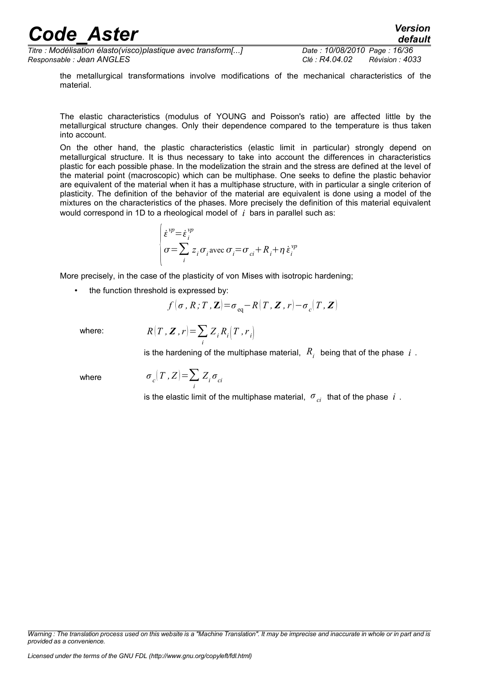*Titre : Modélisation élasto(visco)plastique avec transform[...] Date : 10/08/2010 Page : 16/36 Responsable : Jean ANGLES Clé : R4.04.02 Révision : 4033*

*default*

the metallurgical transformations involve modifications of the mechanical characteristics of the material.

The elastic characteristics (modulus of YOUNG and Poisson's ratio) are affected little by the metallurgical structure changes. Only their dependence compared to the temperature is thus taken into account.

On the other hand, the plastic characteristics (elastic limit in particular) strongly depend on metallurgical structure. It is thus necessary to take into account the differences in characteristics plastic for each possible phase. In the modelization the strain and the stress are defined at the level of the material point (macroscopic) which can be multiphase. One seeks to define the plastic behavior are equivalent of the material when it has a multiphase structure, with in particular a single criterion of plasticity. The definition of the behavior of the material are equivalent is done using a model of the mixtures on the characteristics of the phases. More precisely the definition of this material equivalent would correspond in 1D to a rheological model of *i* bars in parallel such as:

$$
\begin{cases} \dot{\varepsilon}^{vp} = \dot{\varepsilon}_i^{vp} \\ \sigma = \sum_i z_i \sigma_i \text{ avec } \sigma_i = \sigma_{ci} + R_i + \eta \dot{\varepsilon}_i^{vp} \end{cases}
$$

More precisely, in the case of the plasticity of von Mises with isotropic hardening;

the function threshold is expressed by:

$$
f(\boldsymbol{\sigma}, R; T, \mathbf{Z}) = \sigma_{\text{eq}} - R(T, \mathbf{Z}, r) - \sigma_c(T, \mathbf{Z})
$$

where:  $R$ 

$$
(T, \boldsymbol{Z}, r) = \sum_{i} Z_{i} R_{i} (T, r_{i})
$$

is the hardening of the multiphase material,  $\ R_{\overline{i}}\,$  being that of the phase  $\ i\,$  .

where *σ*

$$
\sigma_c(T, Z) = \sum_i Z_i \sigma_{ci}
$$

is the elastic limit of the multiphase material,  $\sigma_{_{ci}}^{\phantom{\dag}}$  that of the phase  $\phantom{i}i$  .

*Warning : The translation process used on this website is a "Machine Translation". It may be imprecise and inaccurate in whole or in part and is provided as a convenience.*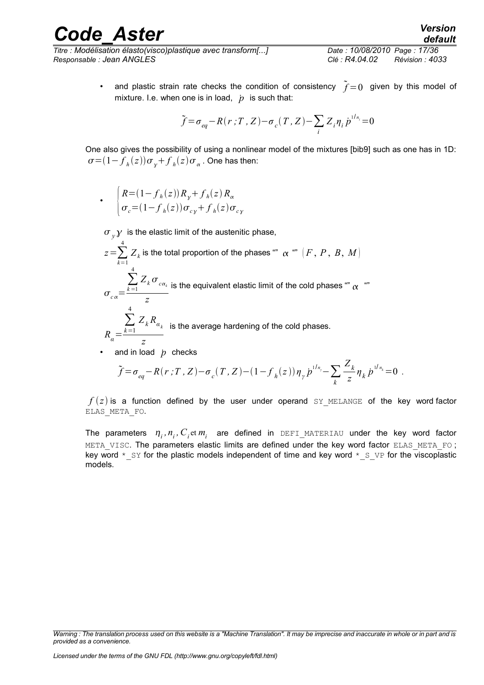*Titre : Modélisation élasto(visco)plastique avec transform[...] Date : 10/08/2010 Page : 17/36 Responsable : Jean ANGLES Clé : R4.04.02 Révision : 4033*

• and plastic strain rate checks the condition of consistency  $\tilde{f}=0$  given by this model of mixture. I.e. when one is in load,  $\dot{p}$  is such that:

$$
\tilde{f} = \sigma_{eq} - R(r; T, Z) - \sigma_c(T, Z) - \sum_i Z_i \eta_i \dot{p}^{1/n_i} = 0
$$

One also gives the possibility of using a nonlinear model of the mixtures [bib9] such as one has in 1D:  $\sigma \!=\! (1\!-\!f_{\!}(\mathit{z}))\sigma_{\mathit{y}}\!+\!f_{\mathit{h}}(\mathit{z})\sigma_{\mathit{\alpha}}$  . One has then:

$$
\cdot \quad \begin{cases} R = (1 - f_h(z))R_y + f_h(z)R_\alpha \\ \sigma_c = (1 - f_h(z))\sigma_{cy} + f_h(z)\sigma_{cy} \end{cases}
$$

$$
\sigma_y \mathcal{Y} \text{ is the elastic limit of the austenitic phase,}
$$
\n
$$
z = \sum_{k=1}^{4} Z_k \text{ is the total proportion of the phases "''} \alpha \text{ "''} [F, P, B, M]
$$
\n
$$
\sigma_{c\alpha} = \frac{\sum_{k=1}^{4} Z_k \sigma_{c\alpha_k}}{z} \text{ is the equivalent elastic limit of the cold phases "''} \alpha \text{ "''}
$$
\n
$$
R_{\alpha} = \frac{\sum_{k=1}^{4} Z_k R_{\alpha_k}}{z} \text{ is the average hardening of the cold phases.}
$$
\nand in load *p* checks

$$
\tilde{f} = \sigma_{eq} - R(r; T, Z) - \sigma_c(T, Z) - (1 - f_h(z)) \eta_{\gamma} \dot{p}^{1/n_{\gamma}} - \sum_k \frac{Z_k}{z} \eta_k \dot{p}^{1/n_k} = 0.
$$

 $f(z)$  is a function defined by the user under operand SY\_MELANGE of the key word factor ELAS\_META\_FO.

The parameters  $\eta_i$ ,  $n_i$ ,  $C_i$ et  $m_i^-$  are defined in DEFI\_MATERIAU under the key word factor META VISC. The parameters elastic limits are defined under the key word factor ELAS META FO; key word  $*$  sy for the plastic models independent of time and key word  $*$  s  $VP$  for the viscoplastic models.

*Warning : The translation process used on this website is a "Machine Translation". It may be imprecise and inaccurate in whole or in part and is provided as a convenience.*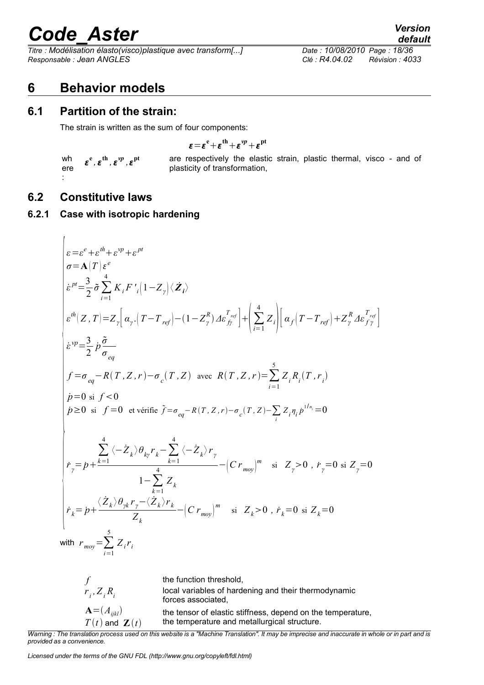*Titre : Modélisation élasto(visco)plastique avec transform[...] Date : 10/08/2010 Page : 18/36 Responsable : Jean ANGLES Clé : R4.04.02 Révision : 4033*

### <span id="page-19-3"></span>**6 Behavior models**

### **6.1 Partition of the strain:**

<span id="page-19-2"></span>The strain is written as the sum of four components:

$$
\epsilon\!=\!\epsilon^{\rm e}\!+\!\epsilon^{\rm th}\!+\!\epsilon^{\nu p}\!+\!\epsilon^{\rm pt}
$$

wh ere :  $\varepsilon^{\text{e}}$  ,  $\varepsilon^{\text{th}}$  ,  $\varepsilon^{\text{vp}}$  ,  $\varepsilon$  **pt** are respectively the elastic strain, plastic thermal, visco - and of plasticity of transformation,

### <span id="page-19-1"></span>**6.2 Constitutive laws**

<span id="page-19-0"></span> $\mathbf{r}$ 

### **6.2.1 Case with isotropic hardening**

$$
\begin{cases}\n\varepsilon = \varepsilon^{e} + \varepsilon^{ih} + \varepsilon^{vp} + \varepsilon^{pt} \\
\sigma = \mathbf{A}(T) \varepsilon^{e} \\
\varepsilon^{pt} = \frac{3}{2} \sigma \sum_{i=1}^{4} K_{i} F'_{i} (1 - Z_{\gamma}) \langle \mathbf{Z}_{i} \rangle \\
\varepsilon^{ih} (Z, T) = Z_{\gamma} \Big[ \alpha_{\gamma} \cdot (T - T_{ref}) - (1 - Z_{\gamma}^{R}) \Delta \varepsilon_{ff}^{T_{ref}} \Big] + \Big( \sum_{i=1}^{4} Z_{i} \Big) \Big[ \alpha_{f} (T - T_{ref}) + Z_{\gamma}^{R} \Delta \varepsilon_{ff}^{T_{ref}} \Big] \\
\varepsilon^{vp} = \frac{3}{2} \rho \frac{\tilde{\sigma}}{\sigma_{eq}} \\
f = \sigma_{eq} - R(T, Z, r) - \sigma_{c}(T, Z) \quad \text{avec } R(T, Z, r) = \sum_{i=1}^{5} Z_{i} R_{i} (T, r_{i}) \\
\dot{p} = 0 \text{ si } f < 0 \\
\dot{p} \ge 0 \text{ si } f = 0 \text{ et verify } \tilde{f} = \sigma_{eq} - R(T, Z, r) - \sigma_{c}(T, Z) - \sum_{i} Z_{i} \eta_{i} \dot{p}^{1/n_{i}} = 0 \\
\sigma_{p} = \sum_{i=1}^{4} \langle -Z_{k} \rangle \theta_{kj} r_{k} - \sum_{k=1}^{4} \langle -Z_{k} \rangle r_{\gamma} \\
\dot{r}_{\gamma} = \dot{p} + \frac{\sum_{i=1}^{4} \langle -Z_{k} \rangle \theta_{kj} r_{k} - \sum_{k=1}^{4} \langle -Z_{k} \rangle r_{\gamma}}{1 - \sum_{k=1}^{4} Z_{k}} - (C r_{moy})^{m} \quad \text{si } Z_{\gamma} > 0 \text{ , } \dot{r}_{\gamma} = 0 \text{ si } Z_{\gamma} = 0 \\
\text{with } r_{moy} = \sum_{i=1}^{5} Z_{i} r_{i}\n\end{cases}
$$

*f* the function threshold,  $r_i$ ,  $Z_i R_i$ local variables of hardening and their thermodynamic forces associated,  $\mathbf{A} = (A_{ijkl})$  the tensor of elastic stiffness, depend on the temperature,  $T(t)$  and  $\mathbf{Z}(t)$ the temperature and metallurgical structure.

*Warning : The translation process used on this website is a "Machine Translation". It may be imprecise and inaccurate in whole or in part and is provided as a convenience.*

*Licensed under the terms of the GNU FDL (http://www.gnu.org/copyleft/fdl.html)*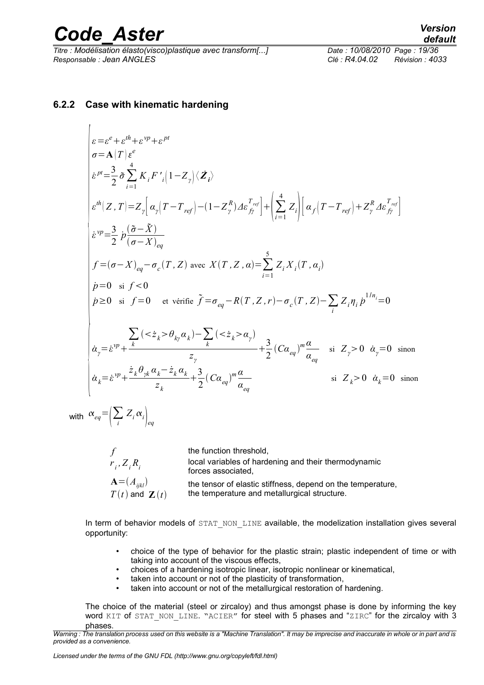<span id="page-20-0"></span> $\overline{1}$ 

*Titre : Modélisation élasto(visco)plastique avec transform[...] Date : 10/08/2010 Page : 19/36 Responsable : Jean ANGLES Clé : R4.04.02 Révision : 4033*

#### **6.2.2 Case with kinematic hardening**

$$
\begin{vmatrix}\n\varepsilon = \varepsilon^{e} + \varepsilon^{th} + \varepsilon^{vp} + \varepsilon^{pt} \\
\sigma = \mathbf{A}(T) \varepsilon^{e} \\
\varepsilon^{pt} = \frac{3}{2} \tilde{\sigma} \sum_{i=1}^{4} K_{i} F'_{i} |1 - Z_{\gamma}| \langle \mathbf{Z}_{i} \rangle \\
\varepsilon^{th} (Z, T) = Z_{\gamma} \Big[ \alpha_{\gamma} (T - T_{ref}) - (1 - Z_{\gamma}^{R}) A \varepsilon_{ff}^{T_{ref}} \Big] + \Big( \sum_{i=1}^{4} Z_{i} \Big) \Big[ \alpha_{f} (T - T_{ref}) + Z_{\gamma}^{R} A \varepsilon_{ff}^{T_{ref}} \Big] \\
\varepsilon^{vp} = \frac{3}{2} \dot{p} \frac{(\tilde{\sigma} - \tilde{X})}{(\sigma - X)_{eq}} \\
f = (\sigma - X)_{eq} - \sigma_{c} (T, Z) \text{ avec } X(T, Z, \alpha) = \sum_{i=1}^{5} Z_{i} X_{i} (T, \alpha_{i}) \\
\dot{p} = 0 \text{ si } f < 0 \\
\dot{p} \ge 0 \text{ si } f = 0 \text{ et verify } \tilde{f} = \sigma_{eq} - R(T, Z, r) - \sigma_{c} (T, Z) - \sum_{i} Z_{i} \eta_{i} \dot{p}^{1/n_{i}} = 0 \\
\frac{\sum_{i} (z_{\tilde{\zeta}_{k}} > \theta_{k\gamma} \alpha_{k}) - \sum_{i} (z_{\tilde{\zeta}_{k}} > \alpha_{\gamma})}{z_{\gamma}} \\
\dot{\alpha}_{\gamma} = \dot{\varepsilon}^{vp} + \frac{\dot{z}_{k} \theta_{\gamma k} \alpha_{k} - \dot{z}_{k} \alpha_{k}}{z_{k}} + \frac{3}{2} (C \alpha_{eq})^{m} \frac{\alpha}{\alpha_{eq}} \text{ si } Z_{\gamma} > 0 \dot{\alpha}_{\gamma} = 0 \text{ sinon} \\
\dot{\alpha}_{k} = \dot{\varepsilon}^{vp} + \frac{\dot{z}_{k} \theta_{\gamma k} \alpha_{k} - \dot{z}_{k} \alpha_{k}}{z_{k}} + \frac{3}{2} (C \alpha_{eq})^{m} \frac{\alpha}{\alpha_{eq}} \text{ si } Z_{k} > 0 \dot{\alpha}_{k} = 0 \text{ sinon} \\
\end{vmatrix}
$$

with  $\alpha_{eq} = \left(\sum_{i} Z_i \alpha_i\right)_{eq}$ 

|                            | the function threshold,                                                    |
|----------------------------|----------------------------------------------------------------------------|
| $r_i, Z_i, R_i$            | local variables of hardening and their thermodynamic<br>forces associated, |
| $\mathbf{A} = (A_{ijkl})$  | the tensor of elastic stiffness, depend on the temperature,                |
| $T(t)$ and $\mathbf{Z}(t)$ | the temperature and metallurgical structure.                               |

In term of behavior models of STAT\_NON\_LINE available, the modelization installation gives several opportunity:

- choice of the type of behavior for the plastic strain; plastic independent of time or with taking into account of the viscous effects,
- choices of a hardening isotropic linear, isotropic nonlinear or kinematical,
- taken into account or not of the plasticity of transformation,<br>• taken into account or not of the metallurgical restoration of
- taken into account or not of the metallurgical restoration of hardening.

The choice of the material (steel or zircaloy) and thus amongst phase is done by informing the key word KIT of STAT\_NON\_LINE. "ACIER" for steel with 5 phases and "ZIRC" for the zircaloy with 3 phases.

*Warning : The translation process used on this website is a "Machine Translation". It may be imprecise and inaccurate in whole or in part and is provided as a convenience.*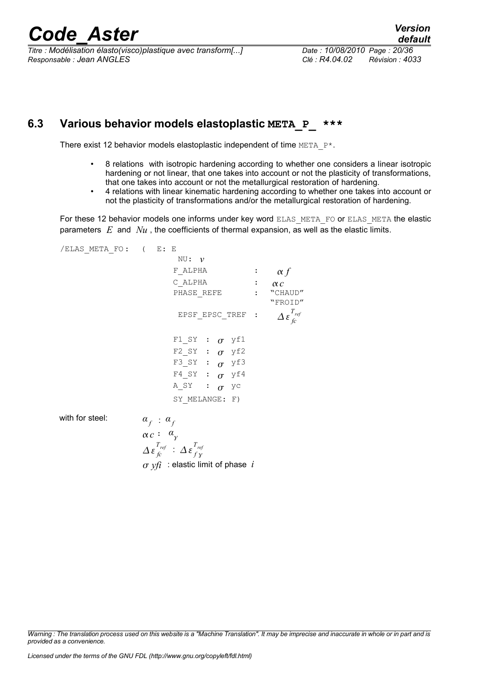*Titre : Modélisation élasto(visco)plastique avec transform[...] Date : 10/08/2010 Page : 20/36 Responsable : Jean ANGLES Clé : R4.04.02 Révision : 4033*

### **6.3 Various behavior models elastoplastic META\_P\_ \*\*\***

<span id="page-21-0"></span>There exist 12 behavior models elastoplastic independent of time META P\*.

- 8 relations with isotropic hardening according to whether one considers a linear isotropic hardening or not linear, that one takes into account or not the plasticity of transformations, that one takes into account or not the metallurgical restoration of hardening.
- 4 relations with linear kinematic hardening according to whether one takes into account or not the plasticity of transformations and/or the metallurgical restoration of hardening.

For these 12 behavior models one informs under key word ELAS\_META\_FO or ELAS\_META the elastic parameters *E* and *Nu* , the coefficients of thermal expansion, as well as the elastic limits.

/ELAS\_META\_FO: ( E: E NU: *ν*  $F$ <sup>*L*</sup>*ALPHA* :  $\alpha f$  $C$ <sup>LDHA</sup> :  $\alpha c$ <br>PHASE REFE : "CHAUD" PHASE REFE : "FROID" EPSF\_EPSC\_TREF :  $\Delta \varepsilon_{\text{f}c}^{T_{\text{ref}}}$ F1 SY :  $\sigma$  yf1 F2 SY :  $\sigma$  yf2 F3 SY :  $\sigma$  yf3 F4 SY :  $\sigma$  yf4 A SY :  $\sigma$  yc SY MELANGE: F) with for steel:  $\alpha_f : \alpha_f$  $\alpha c$  :  $\alpha_y$  $\Delta \, \boldsymbol{\varepsilon}^{T_{\mathit{ref}}}_{\mathit{fc}} \; : \; \Delta \, \boldsymbol{\varepsilon}^{T_{\mathit{ref}}}_{\mathit{f} \, \gamma}$  $\sigma$  *yfi* : elastic limit of phase *i* 

*Warning : The translation process used on this website is a "Machine Translation". It may be imprecise and inaccurate in whole or in part and is provided as a convenience.*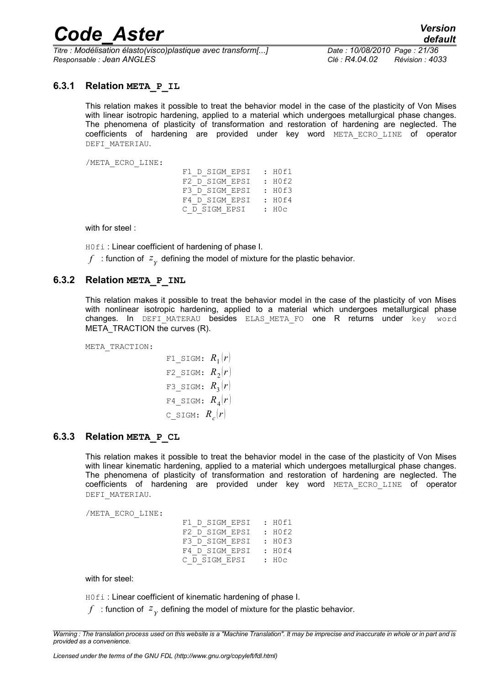*Titre : Modélisation élasto(visco)plastique avec transform[...] Date : 10/08/2010 Page : 21/36 Responsable : Jean ANGLES Clé : R4.04.02 Révision : 4033*

#### **6.3.1 Relation META\_P\_IL**

<span id="page-22-2"></span>This relation makes it possible to treat the behavior model in the case of the plasticity of Von Mises with linear isotropic hardening, applied to a material which undergoes metallurgical phase changes. The phenomena of plasticity of transformation and restoration of hardening are neglected. The coefficients of hardening are provided under key word META\_ECRO\_LINE of operator DEFI\_MATERIAU.

/META\_ECRO\_LINE:

F1 D SIGM EPSI : H0f1 F2\_D\_SIGM\_EPSI : HOf2<br>F3 D SIGM EPSI : HOf3 F3<sup>D</sup>SIGM\_EPSI F4\_D\_SIGM\_EPSI : H0f4<br>C D SIGM EPSI : H0c  $C$   $\overline{D}$  sigm  $\overline{E}$  PSI

with for steel :

H0fi : Linear coefficient of hardening of phase I.

 $f$  : function of  $\overline{z}_\chi$  defining the model of mixture for the plastic behavior.

#### **6.3.2 Relation META\_P\_INL**

<span id="page-22-1"></span>This relation makes it possible to treat the behavior model in the case of the plasticity of von Mises with nonlinear isotropic hardening, applied to a material which undergoes metallurgical phase changes. In DEFI\_MATERAU besides ELAS\_META\_FO one R returns under key word META\_TRACTION the curves (R).

META\_TRACTION:

F1\_SIGM: 
$$
R_1(r)
$$
  
\nF2\_SIGM:  $R_2(r)$   
\nF3\_SIGM:  $R_3(r)$   
\nF4\_SIGM:  $R_4(r)$   
\nC\_SIGM:  $R_c(r)$ 

#### **6.3.3 Relation META\_P\_CL**

<span id="page-22-0"></span>This relation makes it possible to treat the behavior model in the case of the plasticity of Von Mises with linear kinematic hardening, applied to a material which undergoes metallurgical phase changes. The phenomena of plasticity of transformation and restoration of hardening are neglected. The coefficients of hardening are provided under key word META\_ECRO\_LINE of operator DEFI\_MATERIAU.

/META\_ECRO\_LINE:

| F1 D SIGM EPSI | : H0f1 |
|----------------|--------|
| F2 D SIGM EPSI | : HOf2 |
| F3 D SIGM EPSI | : H0f3 |
| F4 D SIGM EPSI | : H0f4 |
| C D SIGM EPSI  | : H0c  |

with for steel:

HOfi: Linear coefficient of kinematic hardening of phase I.

 $f^{\pm}$ : function of  $\left|z_{\gamma}\right\rangle$  defining the model of mixture for the plastic behavior.

*Warning : The translation process used on this website is a "Machine Translation". It may be imprecise and inaccurate in whole or in part and is provided as a convenience.*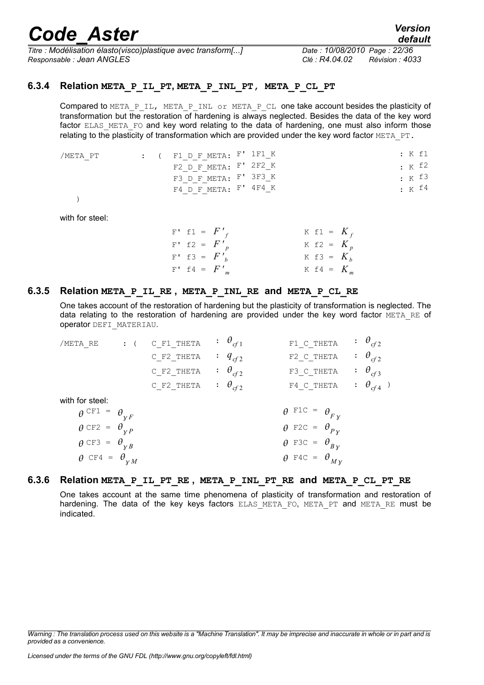*Titre : Modélisation élasto(visco)plastique avec transform[...] Date : 10/08/2010 Page : 22/36 Responsable : Jean ANGLES Clé : R4.04.02 Révision : 4033*

#### **6.3.4 Relation META\_P\_IL\_PT, META\_P\_INL\_PT, META\_P\_CL\_PT**

<span id="page-23-2"></span>Compared to META\_P\_IL, META\_P\_INL or META\_P\_CL one take account besides the plasticity of transformation but the restoration of hardening is always neglected. Besides the data of the key word factor ELAS META FO and key word relating to the data of hardening, one must also inform those relating to the plasticity of transformation which are provided under the key word factor META  $PT$ .

| /META PT |  | : ( F1 D F META: $F'$ 1 F1 $_K$ |  |  | : K f1              |
|----------|--|---------------------------------|--|--|---------------------|
|          |  | F2 D F META: F' 2F2 K           |  |  | $\cdot$ K f2        |
|          |  | F3 D F META: F' 3F3 K           |  |  | $\cdot$ $\kappa$ 13 |
|          |  | F4 D F META: F' 4F4 K           |  |  | $\cdot$ $\kappa$ f4 |

)

with for steel:

 $F'$  f1 =  $F'$ <sub>f</sub>  $K$  f1 =  $K_f$  $F'$  f2 =  $F'$ <sub>p</sub>  $K$  f2 =  $K_p$  $F'$  f3 =  $F'_{b}$  $K$  f3 =  $K_b$  $F'$  f4 =  $F'$ <sub>m</sub>  $K$  f4 =  $K_m$ 

#### **6.3.5 Relation META\_P\_IL\_RE , META\_P\_INL\_RE and META\_P\_CL\_RE**

<span id="page-23-1"></span>One takes account of the restoration of hardening but the plasticity of transformation is neglected. The data relating to the restoration of hardening are provided under the key word factor META RE of operator DEFI\_MATERIAU.

| /META RE                | $\colon$ ( | C F1 THETA | $\colon \theta_{cf1}$       | F1 C THETA                        | $\therefore$ $\theta_{cf2}$ |
|-------------------------|------------|------------|-----------------------------|-----------------------------------|-----------------------------|
|                         |            | C F2 THETA | $: q_{cf2}$                 | F2 C THETA                        | $\therefore$ $\theta_{cf2}$ |
|                         |            | C F2 THETA | $\cdot \theta_{cf2}$        | F3 C THETA                        | $\therefore$ $\theta_{cf3}$ |
|                         |            | C F2 THETA | $\therefore$ $\theta_{cf2}$ | F4 C THETA                        | $\therefore$ $\theta_{cf4}$ |
| with for steel:         |            |            |                             |                                   |                             |
| $\theta$ CF1 = $\theta$ |            |            |                             | $\theta$ F1C = $\theta_{Fv}$      |                             |
| $\theta$ CF2 = $\theta$ |            |            |                             | $\theta$ F2C = $\theta_{Pv}$      |                             |
| $\theta$ CF3 = $\theta$ |            |            |                             | $\theta$ F3C = $\theta_{Bv}$      |                             |
| $\theta$ CF4 = $\theta$ |            |            |                             | $\theta$ F4C = $\theta_{M\gamma}$ |                             |

#### **6.3.6 Relation META\_P\_IL\_PT\_RE , META\_P\_INL\_PT\_RE and META\_P\_CL\_PT\_RE**

<span id="page-23-0"></span>One takes account at the same time phenomena of plasticity of transformation and restoration of hardening. The data of the key keys factors ELAS META FO, META PT and META RE must be indicated.

*Warning : The translation process used on this website is a "Machine Translation". It may be imprecise and inaccurate in whole or in part and is provided as a convenience.*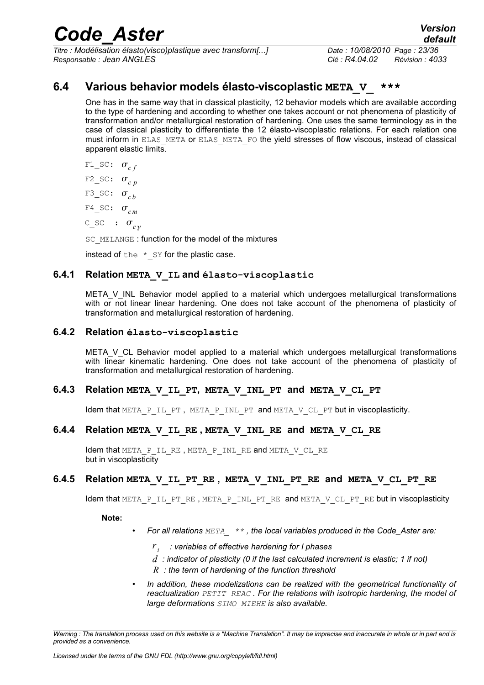*Titre : Modélisation élasto(visco)plastique avec transform[...] Date : 10/08/2010 Page : 23/36 Responsable : Jean ANGLES Clé : R4.04.02 Révision : 4033*

### **6.4 Various behavior models élasto-viscoplastic META\_V\_ \*\*\***

<span id="page-24-5"></span>One has in the same way that in classical plasticity, 12 behavior models which are available according to the type of hardening and according to whether one takes account or not phenomena of plasticity of transformation and/or metallurgical restoration of hardening. One uses the same terminology as in the case of classical plasticity to differentiate the 12 élasto-viscoplastic relations. For each relation one must inform in ELAS\_META or ELAS\_META\_FO the yield stresses of flow viscous, instead of classical apparent elastic limits.

F1  $SC: \sigma_{cf}$ F2  $SC: \sigma_{c}$  *p* F3 SC:  $\sigma_{ch}$ F4 SC:  $\sigma_{cm}$  $C\_SC$  :  $\sigma_{c}$ 

SC\_MELANGE : function for the model of the mixtures

<span id="page-24-4"></span>instead of the  $*$  sy for the plastic case.

#### **6.4.1 Relation META\_V\_IL and élasto-viscoplastic**

META V INL Behavior model applied to a material which undergoes metallurgical transformations with or not linear linear hardening. One does not take account of the phenomena of plasticity of transformation and metallurgical restoration of hardening.

#### **6.4.2 Relation élasto-viscoplastic**

<span id="page-24-3"></span>META\_V\_CL Behavior model applied to a material which undergoes metallurgical transformations with linear kinematic hardening. One does not take account of the phenomena of plasticity of transformation and metallurgical restoration of hardening.

#### **6.4.3 Relation META\_V\_IL\_PT, META\_V\_INL\_PT and META\_V\_CL\_PT**

<span id="page-24-2"></span><span id="page-24-1"></span>Idem that META P\_IL\_PT, META P\_INL\_PT and META\_V\_CL\_PT but in viscoplasticity.

#### **6.4.4 Relation META\_V\_IL\_RE , META\_V\_INL\_RE and META\_V\_CL\_RE**

Idem that META P\_IL\_RE, META\_P\_INL\_RE and META\_V\_CL\_RE but in viscoplasticity

#### **6.4.5 Relation META\_V\_IL\_PT\_RE , META\_V\_INL\_PT\_RE and META\_V\_CL\_PT\_RE**

<span id="page-24-0"></span>Idem that META  $P$  IL PT RE, META  $P$  INL PT RE and META  $V$  CL PT RE but in viscoplasticity

**Note:**

- *For all relations META\_ \*\* , the local variables produced in the Code\_Aster are:*
	- *r i : variables of effective hardening for I phases*
	- *d : indicator of plasticity (0 if the last calculated increment is elastic; 1 if not)*
	- *R : the term of hardening of the function threshold*
- *In addition, these modelizations can be realized with the geometrical functionality of reactualization PETIT\_REAC . For the relations with isotropic hardening, the model of large deformations SIMO\_MIEHE is also available.*

*Warning : The translation process used on this website is a "Machine Translation". It may be imprecise and inaccurate in whole or in part and is provided as a convenience.*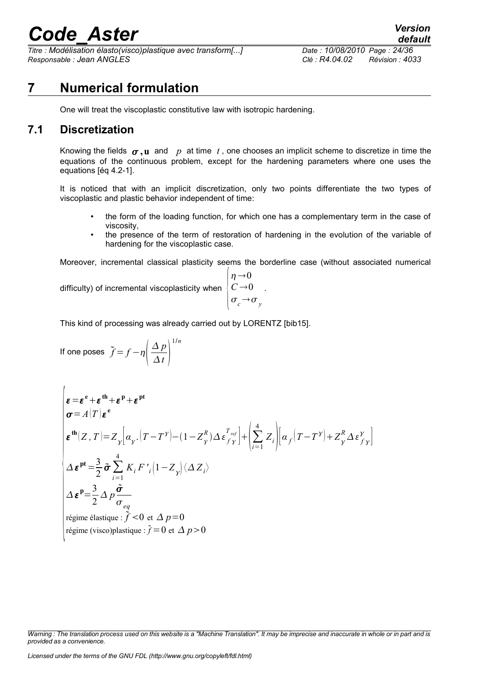*Titre : Modélisation élasto(visco)plastique avec transform[...] Date : 10/08/2010 Page : 24/36 Responsable : Jean ANGLES Clé : R4.04.02 Révision : 4033*

### **7 Numerical formulation**

<span id="page-25-1"></span><span id="page-25-0"></span>One will treat the viscoplastic constitutive law with isotropic hardening.

### **7.1 Discretization**

Knowing the fields  $\sigma, u$  and p at time t, one chooses an implicit scheme to discretize in time the equations of the continuous problem, except for the hardening parameters where one uses the equations [éq 4.2-1].

It is noticed that with an implicit discretization, only two points differentiate the two types of viscoplastic and plastic behavior independent of time:

- the form of the loading function, for which one has a complementary term in the case of viscosity,
- the presence of the term of restoration of hardening in the evolution of the variable of hardening for the viscoplastic case.

Moreover, incremental classical plasticity seems the borderline case (without associated numerical

 $n\rightarrow 0$ 

difficulty) of incremental viscoplasticity when

$$
\begin{cases} C \to 0 \\ \sigma_c \to \sigma_y \end{cases}
$$

This kind of processing was already carried out by LORENTZ [bib15].

If one poses 
$$
\tilde{f} = f - \eta \left( \frac{\Delta p}{\Delta t} \right)^{1/n}
$$

$$
\begin{cases}\n\varepsilon = \varepsilon^{e} + \varepsilon^{th} + \varepsilon^{p} + \varepsilon^{pt} \\
\sigma = A(T) \varepsilon^{e} \\
\varepsilon^{th}(Z, T) = Z_{y} \left[ \alpha_{y} \cdot (T - T^{y}) - (1 - Z_{y}^{R}) \Delta \varepsilon_{f}^{T_{ref}} \right] + \left( \sum_{i=1}^{4} Z_{i} \right) \left[ \alpha_{f} (T - T^{y}) + Z_{y}^{R} \Delta \varepsilon_{f}^{y} \right] \\
\Delta \varepsilon^{pt} = \frac{3}{2} \tilde{\sigma} \sum_{i=1}^{4} K_{i} F'_{i} (1 - Z_{y}) \langle \Delta Z_{i} \rangle \\
\Delta \varepsilon^{p} = \frac{3}{2} \Delta p \frac{\tilde{\sigma}}{\sigma_{eq}} \\
\text{régime élastique : } \tilde{f} < 0 \text{ et } \Delta p = 0 \\
\text{régime (visco)plastique : } \tilde{f} = 0 \text{ et } \Delta p > 0\n\end{cases}
$$

*Warning : The translation process used on this website is a "Machine Translation". It may be imprecise and inaccurate in whole or in part and is provided as a convenience.*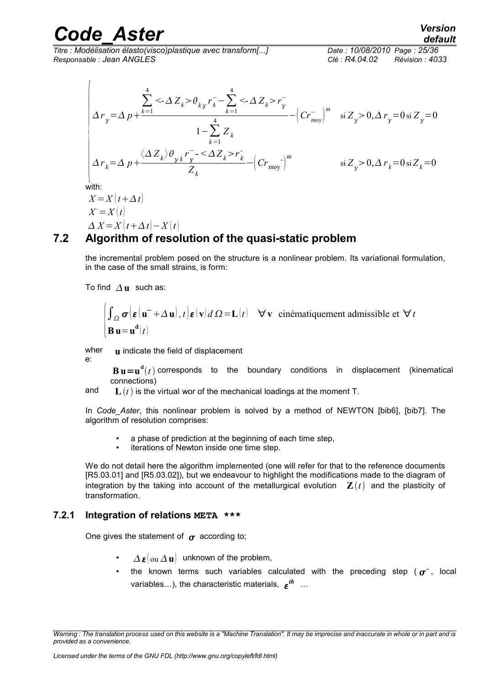*Titre : Modélisation élasto(visco)plastique avec transform[...] Date : 10/08/2010 Page : 25/36 Responsable : Jean ANGLES Clé : R4.04.02 Révision : 4033*

$$
\begin{aligned}\n&\left|\Delta r_y = \Delta p + \frac{\sum_{k=1}^4 \langle \Delta Z_k > \theta_{ky} r_k^- - \sum_{k=1}^4 \langle \Delta Z_k > r_y^-}{1 - \sum_{k=1}^4 Z_k} - \left( C r_{\text{mov}}^- \right)^m \right| &\text{si } Z_y > 0, \Delta r_y = 0 \text{ si } Z_y = 0 \\
&\Delta r_k = \Delta p + \frac{\langle \Delta Z_k \rangle \theta_{yk} r_y^- - \langle \Delta Z_k > r_k^-}{Z_k} - \left( C r_{\text{mov}}^- \right)^m &\text{si } Z_y > 0, \Delta r_k = 0 \text{ si } Z_k = 0 \\
&\text{with:} \\
&X = X(t + \Delta t) \\
&X = X(t) \\
&\Delta X = X(t + \Delta t) - X(t)\n\end{aligned}\right.
$$

### **7.2 Algorithm of resolution of the quasi-static problem**

<span id="page-26-1"></span>the incremental problem posed on the structure is a nonlinear problem. Its variational formulation, in the case of the small strains, is form:

To find  $\Delta$ **u** such as:

$$
\int_{\Omega} \sigma \left( \varepsilon \left( \mathbf{u}^- + \Delta \mathbf{u} \right), t \right) \varepsilon(\mathbf{v}) d\Omega = \mathbf{L}(t) \quad \forall \mathbf{v} \text{ cinématiquement admissible et } \forall t
$$
  

$$
\mathbf{B} \mathbf{u} = \mathbf{u}^{\mathbf{d}}(t)
$$

wher e: **u** indicate the field of displacement

> $\mathbf{B}\mathbf{u} = \mathbf{u}^{\mathbf{d}}(t)$  corresponds to the boundary conditions in displacement (kinematical connections)

and  $\mathbf{L}(t)$  is the virtual wor of the mechanical loadings at the moment T.

In *Code\_Aster*, this nonlinear problem is solved by a method of NEWTON [bib6], [bib7]. The algorithm of resolution comprises:

- a phase of prediction at the beginning of each time step.
- iterations of Newton inside one time step.

We do not detail here the algorithm implemented (one will refer for that to the reference documents [R5.03.01] and [R5.03.02]), but we endeavour to highlight the modifications made to the diagram of integration by the taking into account of the metallurgical evolution  $\mathbf{Z}(t)$  and the plasticity of transformation.

#### **7.2.1 Integration of relations META \*\*\***

<span id="page-26-0"></span>One gives the statement of  $\sigma$  according to:

- $\Delta \boldsymbol{\varepsilon}$  ou  $\Delta \mathbf{u}$  unknown of the problem,
- the known terms such variables calculated with the preceding step ( $\sigma^{\text{-}}$ , local variables...), the characteristic materials,  $\boldsymbol{\varepsilon^{th}}$  ...

*Warning : The translation process used on this website is a "Machine Translation". It may be imprecise and inaccurate in whole or in part and is provided as a convenience.*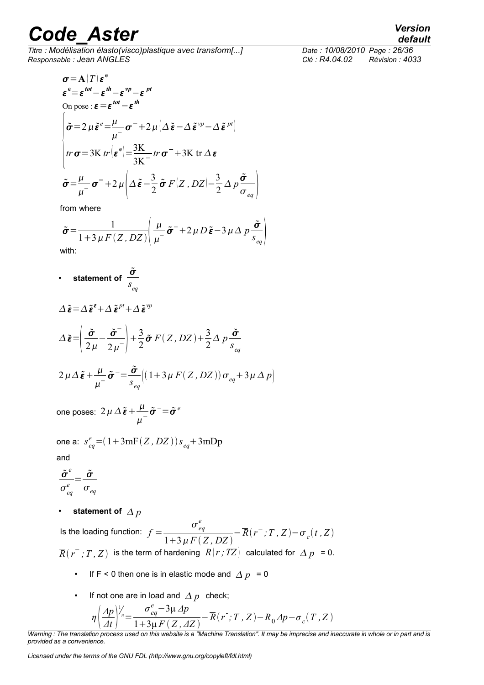*Titre : Modélisation élasto(visco)plastique avec transform[...] Date : 10/08/2010 Page : 26/36 Responsable : Jean ANGLES Clé : R4.04.02 Révision : 4033*

$$
\sigma = A(T) \varepsilon^{e}
$$
\n
$$
\varepsilon^{e} = \varepsilon^{tot} - \varepsilon^{th} - \varepsilon^{vp} - \varepsilon^{pt}
$$
\nOn pose :  $\varepsilon = \varepsilon^{tot} - \varepsilon^{th}$ \n
$$
\begin{cases}\n\tilde{\sigma} = 2 \mu \tilde{\varepsilon}^{e} = \frac{\mu}{\mu^{-}} \sigma^{-} + 2 \mu \left( \Delta \tilde{\varepsilon} - \Delta \tilde{\varepsilon}^{vp} - \Delta \tilde{\varepsilon}^{pt} \right) \\
tr \sigma = 3K \text{ tr} \left( \varepsilon^{e} \right) = \frac{3K}{3K^{-}} tr \sigma^{-} + 3K tr \Delta \varepsilon \\
\tilde{\sigma} = \frac{\mu}{\mu^{-}} \sigma^{-} + 2 \mu \left( \Delta \tilde{\varepsilon} - \frac{3}{2} \tilde{\sigma} F(Z, DZ) - \frac{3}{2} \Delta p \frac{\tilde{\sigma}}{\sigma_{eq}} \right)\n\end{cases}
$$

from where

$$
\tilde{\sigma} = \frac{1}{1 + 3 \mu F(Z, DZ)} \left( \frac{\mu}{\mu} - \tilde{\sigma}^{-} + 2 \mu D \tilde{\epsilon} - 3 \mu \Delta p \frac{\tilde{\sigma}}{s_{eq}} \right)
$$

with:

• statement of 
$$
\frac{\tilde{\sigma}}{s_{eq}}
$$

$$
\Delta \tilde{\boldsymbol{\varepsilon}} = \Delta \tilde{\boldsymbol{\varepsilon}}^{\epsilon} + \Delta \tilde{\boldsymbol{\varepsilon}}^{pt} + \Delta \tilde{\boldsymbol{\varepsilon}}^{vp}
$$
  
\n
$$
\Delta \tilde{\boldsymbol{\varepsilon}} = \left( \frac{\tilde{\sigma}}{2\mu} - \frac{\tilde{\sigma}^{-}}{2\mu^{-}} \right) + \frac{3}{2} \tilde{\sigma} F(Z, DZ) + \frac{3}{2} \Delta p \frac{\tilde{\sigma}}{s_{eq}}
$$
  
\n
$$
2\mu \Delta \tilde{\boldsymbol{\varepsilon}} + \frac{\mu}{\mu^{-}} \tilde{\sigma}^{-} = \frac{\tilde{\sigma}}{s_{eq}} \Big( (1 + 3\mu F(Z, DZ)) \sigma_{eq} + 3\mu \Delta p \Big)
$$

one poses:  $2\,\mu\,\Delta\,\tilde{\bm{\varepsilon}} + \frac{\mu}{\mu}$  $\frac{\mu}{\mu^-}\tilde{\boldsymbol{\sigma}}^-$ = $\tilde{\boldsymbol{\sigma}}^e$ 

one a:  $s_{eq}^{e} = (1 + 3\text{mF}(Z, DZ))s_{eq} + 3\text{mDp}$ and

$$
\frac{\tilde{\sigma}^e}{\sigma^e_{eq}} = \frac{\tilde{\sigma}}{\sigma_{eq}}
$$

statement of  $\Delta p$ 

Is the loading function:  $f =$  $\sigma_{\textit{eq}}^{\textit{e}}$ *e*  $1+3\mu F(Z, DZ)$  $-\overline{R}(r^-;T,Z)-\sigma_c(t,Z)$  $\overline{R}(r^{-},T,Z)$  is the term of hardening  $\ R[r;TZ]$  calculated for  $\varDelta$   $p$  = 0.

- If  $F < 0$  then one is in elastic mode and  $\Delta p = 0$
- If not one are in load and  $\Delta p$  check;

$$
\eta \left( \frac{\Delta p}{\Delta t} \right)^{1/2} = \frac{\sigma_{eq}^e - 3\mu \Delta p}{1 + 3\mu F(Z, \Delta Z)} - \overline{R}(r^{\cdot}; T, Z) - R_0 \Delta p - \sigma_c(T, Z)
$$

*Warning : The translation process used on this website is a "Machine Translation". It may be imprecise and inaccurate in whole or in part and is provided as a convenience.*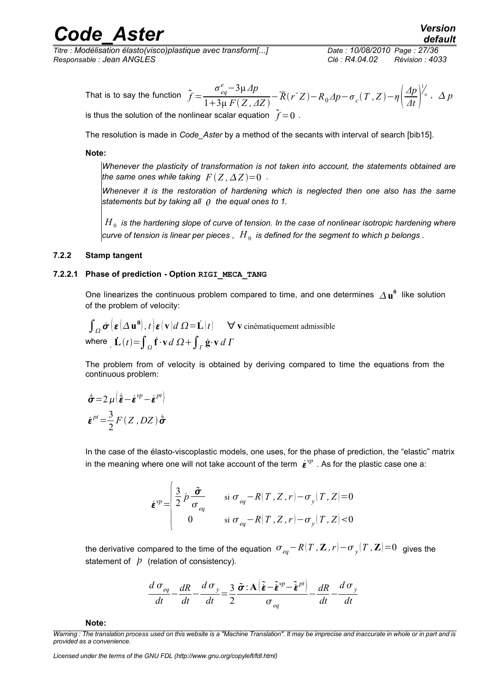*Titre : Modélisation élasto(visco)plastique avec transform[...] Date : 10/08/2010 Page : 27/36 Responsable : Jean ANGLES Clé : R4.04.02 Révision : 4033*

*default*

The resolution is made in *Code\_Aster* by a method of the secants with interval of search [bib15].

#### **Note:**

*Whenever the plasticity of transformation is not taken into account, the statements obtained are the same ones while taking*  $F(Z, \Delta Z) = 0$ .

*Whenever it is the restoration of hardening which is neglected then one also has the same statements but by taking all the equal ones to 1.*

 $H_{\,0}\,$  is the hardening slope of curve of tension. In the case of nonlinear isotropic hardening where  $\textrm{curve of tension is linear per pieces}$  ,  $\left. H_{\,0}\right.$  is defined for the segment to which  $p$  belongs .

#### <span id="page-28-1"></span>**7.2.2 Stamp tangent**

#### **7.2.2.1 Phase of prediction - Option RIGI\_MECA\_TANG**

<span id="page-28-0"></span>One linearizes the continuous problem compared to time, and one determines  $\Delta \mathbf{u}^0$  like solution of the problem of velocity:

$$
\int_{\Omega} \dot{\boldsymbol{\sigma}} \left( \boldsymbol{\varepsilon} \left( \Delta \mathbf{u}^0 \right), t \right) \boldsymbol{\varepsilon} \left( \mathbf{v} \right) d \Omega = \dot{\mathbf{L}} \left( t \right) \qquad \forall \ \mathbf{v} \text{ cinématiquement admissible}
$$
\nwhere 
$$
\dot{\mathbf{L}} \left( t \right) = \int_{\Omega} \dot{\mathbf{f}} \cdot \mathbf{v} \, d \Omega + \int_{\Gamma} \dot{\mathbf{g}} \cdot \mathbf{v} \, d \Gamma
$$

The problem from of velocity is obtained by deriving compared to time the equations from the continuous problem:

$$
\dot{\tilde{\boldsymbol{\sigma}}} = 2 \mu \left( \dot{\tilde{\boldsymbol{\varepsilon}}} - \dot{\boldsymbol{\varepsilon}}^{vp} - \dot{\boldsymbol{\varepsilon}}^{pt} \right)
$$

$$
\dot{\boldsymbol{\varepsilon}}^{pt} = \frac{3}{2} F(Z, DZ) \dot{\tilde{\boldsymbol{\sigma}}}
$$

In the case of the élasto-viscoplastic models, one uses, for the phase of prediction, the "elastic" matrix in the meaning where one will not take account of the term  $\dot{\bm{\epsilon}}^{\nu p}$  . As for the plastic case one a:

$$
\dot{\boldsymbol{\varepsilon}}^{vp} = \begin{vmatrix} \frac{3}{2} \dot{p} \frac{\tilde{\boldsymbol{\sigma}}}{\sigma_{eq}} & \text{si } \sigma_{eq} - R(T, Z, r) - \sigma_{y}(T, Z) = 0 \\ 0 & \text{si } \sigma_{eq} - R(T, Z, r) - \sigma_{y}(T, Z) < 0 \end{vmatrix}
$$

the derivative compared to the time of the equation  $\sigma_{_{eq}}-R(T$  *,*  $\mathbf{Z}$  *, r* $)-\sigma_{_{\mathcal{Y}}}(T$  *,*  $\mathbf{Z})\text{=0}\;$  gives the statement of  $\dot{p}$  (relation of consistency).

$$
\frac{d\sigma_{eq}}{dt} - \frac{dR}{dt} - \frac{d\sigma_y}{dt} = \frac{3}{2} \frac{\tilde{\sigma} \cdot \mathbf{A} \left( \tilde{\mathbf{\varepsilon}} - \tilde{\mathbf{\varepsilon}}^{vp} - \tilde{\mathbf{\varepsilon}}^{pt} \right)}{\sigma_{eq}} - \frac{dR}{dt} - \frac{d\sigma_y}{dt}
$$

**Note:**

*Warning : The translation process used on this website is a "Machine Translation". It may be imprecise and inaccurate in whole or in part and is provided as a convenience.*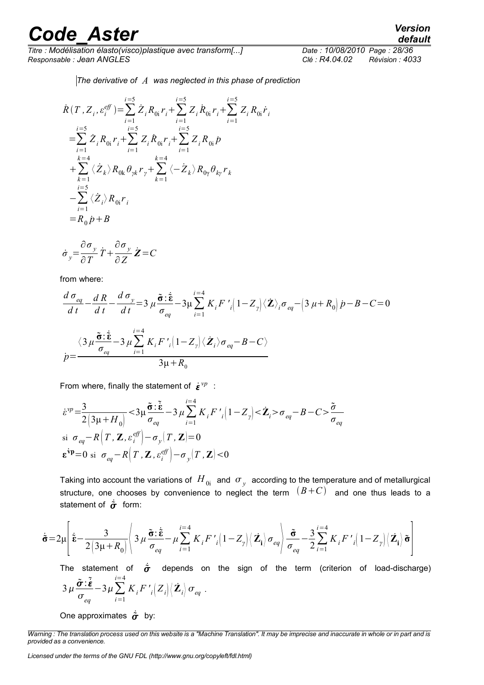*Titre : Modélisation élasto(visco)plastique avec transform[...] Date : 10/08/2010 Page : 28/36 Responsable : Jean ANGLES Clé : R4.04.02 Révision : 4033*

*The derivative of A was neglected in this phase of prediction*

$$
\dot{R}(T, Z_i, \varepsilon_i^{eff}) = \sum_{i=1}^{i=5} \dot{Z}_i R_{0i} r_i + \sum_{i=1}^{i=5} Z_i \dot{R}_{0i} r_i + \sum_{i=1}^{i=5} Z_i R_{0i} \dot{r}_i \n= \sum_{i=1}^{i=5} \dot{Z}_i R_{0i} r_i + \sum_{i=1}^{i=5} Z_i \dot{R}_{0i} r_i + \sum_{i=1}^{i=5} Z_i R_{0i} p \n+ \sum_{k=1}^{k=4} \langle \dot{Z}_k \rangle R_{0k} \theta_{\gamma k} r_{\gamma} + \sum_{k=1}^{k=4} \langle -\dot{Z}_k \rangle R_{0\gamma} \theta_{k\gamma} r_k \n- \sum_{i=1}^{i=5} \langle \dot{Z}_i \rangle R_{0i} r_i \n= R_0 \dot{p} + B
$$

$$
\dot{\sigma}_y = \frac{\partial \sigma_y}{\partial T} \dot{T} + \frac{\partial \sigma_y}{\partial Z} \dot{Z} = C
$$

from where:

$$
\frac{d\,\sigma_{eq}}{dt} - \frac{d\,R}{dt} - \frac{d\,\sigma_{y}}{dt} = 3\,\mu \frac{\tilde{\sigma} \cdot \dot{\tilde{\mathbf{g}}}}{\sigma_{eq}} - 3\mu \sum_{i=1}^{i=4} K_{i} F\, \prime \, \left(1 - Z_{y}\right) \langle \dot{\mathbf{Z}} \rangle_{i} \sigma_{eq} - \left(3\,\mu + R_{0}\right) \dot{p} - B - C = 0
$$
\n
$$
\dot{p} = \frac{\langle 3\,\mu \frac{\tilde{\sigma} \cdot \dot{\tilde{\mathbf{g}}}}{\sigma_{eq}} - 3\,\mu \sum_{i=1}^{i=4} K_{i} F\, \prime \, \left(1 - Z_{y}\right) \langle \dot{\mathbf{Z}}_{i} \rangle \sigma_{eq} - B - C \rangle}{3\mu + R_{0}}
$$

From where, finally the statement of  $\dot{\epsilon}^{vp}$ :

$$
\dot{\varepsilon}^{vp} = \frac{3}{2\left(3\mu + H_0\right)} < 3\mu \frac{\tilde{\sigma} \cdot \tilde{\dot{\varepsilon}}}{\sigma_{eq}} - 3\mu \sum_{i=1}^{i=4} K_i F'_i \left(1 - Z_y\right) < \tilde{Z}_i > \sigma_{eq} - B - C > \frac{\tilde{\sigma}}{\sigma_{eq}}
$$
\n
$$
\text{si } \sigma_{eq} - R\left(T, \mathbf{Z}, \varepsilon_i^{eff}\right) - \sigma_y \left(T, \mathbf{Z}\right) = 0
$$
\n
$$
\mathbf{\varepsilon}^{vp} = 0 \text{ si } \sigma_{eq} - R\left(T, \mathbf{Z}, \varepsilon_i^{eff}\right) - \sigma_y \left(T, \mathbf{Z}\right) < 0
$$

Taking into account the variations of  $\,H_{\,0i}\,$  and  $\,\sigma_{\,y}\,$  according to the temperature and of metallurgical structure, one chooses by convenience to neglect the term  $(B+C)$  and one thus leads to a statement of  $\dot{\sigma}$  form:

$$
\dot{\tilde{\sigma}} = 2\mu \left[ \dot{\tilde{\boldsymbol{\epsilon}}} - \frac{3}{2\left(3\mu + R_0\right)} \right] 3 \mu \frac{\tilde{\boldsymbol{\sigma}} : \dot{\tilde{\boldsymbol{\epsilon}}}}{\sigma_{eq}} - \mu \sum_{i=1}^{i=4} K_i F'_{i} \left(1 - Z_{\gamma}\right) \left\langle \mathbf{Z}_i \right\rangle \sigma_{eq} \left| \frac{\tilde{\boldsymbol{\sigma}}}{\sigma_{eq}} - \frac{3}{2} \sum_{i=1}^{i=4} K_i F'_{i} \left(1 - Z_{\gamma}\right) \left\langle \mathbf{Z}_i \right\rangle \tilde{\boldsymbol{\sigma}} \right]
$$

The statement of  $\dot{\sigma}$  depends on the sign of the term (criterion of load-discharge)  $3\,\mu\frac{\tilde{\boldsymbol{\sigma}}:\tilde{\boldsymbol{\varepsilon}}}{\varepsilon}$  $\sigma_{eq}$  $-3\mu\sum$ *i*=1 *i*=4  $K_{i}F^{\ \prime}_{\ \ i}\Big|Z_{i}\Big|\Big\langle {\dot{\mathbf{Z}}_{i}}\Big|\sigma_{eq}\;.$ 

One approximates  $\dot{\sigma}$  by:

*default*

*Warning : The translation process used on this website is a "Machine Translation". It may be imprecise and inaccurate in whole or in part and is provided as a convenience.*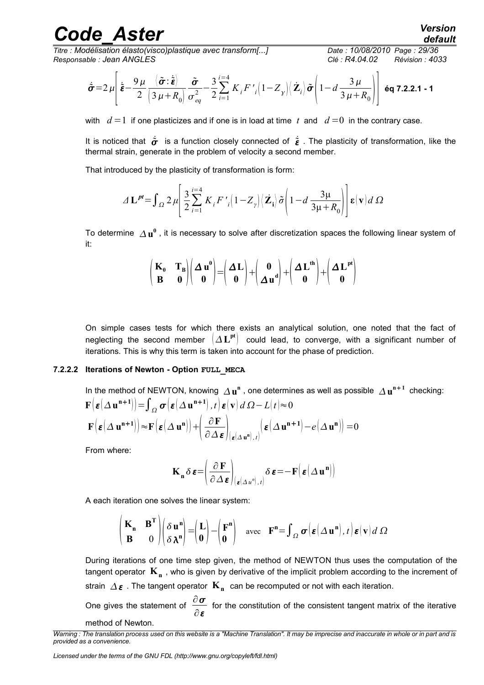*Titre : Modélisation élasto(visco)plastique avec transform[...] Date : 10/08/2010 Page : 29/36 Responsable : Jean ANGLES Clé : R4.04.02 Révision : 4033*

$$
\dot{\tilde{\boldsymbol{\sigma}}} = 2 \mu \left[ \dot{\tilde{\boldsymbol{\varepsilon}}} - \frac{9 \mu}{2} \frac{\langle \tilde{\boldsymbol{\sigma}} : \dot{\tilde{\boldsymbol{\varepsilon}}} \rangle}{\left( 3 \mu + R_0 \right)} \frac{\tilde{\boldsymbol{\sigma}}}{\sigma_{eq}^2} - \frac{3}{2} \sum_{i=1}^{i=4} K_i F'_{i} \left( 1 - Z_{\gamma} \right) \langle \dot{\boldsymbol{Z}}_i \rangle \tilde{\boldsymbol{\sigma}} \left( 1 - d \frac{3 \mu}{3 \mu + R_0} \right) \right] \text{ éq 7.2.2.1 - 1}
$$

with  $d=1$  if one plasticizes and if one is in load at time t and  $d=0$  in the contrary case.

It is noticed that  $\dot{\sigma}$  is a function closely connected of  $\dot{\varepsilon}$ . The plasticity of transformation, like the thermal strain, generate in the problem of velocity a second member.

That introduced by the plasticity of transformation is form:

$$
\varDelta \mathbf{L}^{pt} = \int_{\Omega} 2\,\mu \left[ \frac{3}{2} \sum_{i=1}^{i=4} K_i F'_{i} \left( 1 - Z_{\gamma} \right) \left\langle \mathbf{Z}_i \right\rangle \tilde{\sigma} \left( 1 - d \, \frac{3\mu}{3\mu + R_0} \right) \right] \mathbf{\varepsilon}(\mathbf{v}) d\,\Omega
$$

To determine  $\varDelta\mathbf{u}^0$  , it is necessary to solve after discretization spaces the following linear system of it:

$$
\begin{pmatrix} \mathbf{K}_0 & \mathbf{T_B} \\ \mathbf{B} & \mathbf{0} \end{pmatrix} \begin{pmatrix} \Delta \mathbf{u}^0 \\ \mathbf{0} \end{pmatrix} = \begin{pmatrix} \Delta \mathbf{L} \\ \mathbf{0} \end{pmatrix} + \begin{pmatrix} \mathbf{0} \\ \Delta \mathbf{u}^d \end{pmatrix} + \begin{pmatrix} \Delta \mathbf{L}^{\text{th}} \\ \mathbf{0} \end{pmatrix} + \begin{pmatrix} \Delta \mathbf{L}^{\text{pt}} \\ \mathbf{0} \end{pmatrix}
$$

On simple cases tests for which there exists an analytical solution, one noted that the fact of neglecting the second member  $({\mathit{\Delta L}}^{\rm pt})$  could lead, to converge, with a significant number of iterations. This is why this term is taken into account for the phase of prediction.

#### **7.2.2.2 Iterations of Newton - Option FULL\_MECA**

<span id="page-30-0"></span>In the method of NEWTON, knowing 
$$
\Delta \mathbf{u}^n
$$
, one determines as well as possible  $\Delta \mathbf{u}^{n+1}$  checking:  
\n
$$
\mathbf{F}(\varepsilon(\Delta \mathbf{u}^{n+1})) = \int_{\Omega} \sigma(\varepsilon(\Delta \mathbf{u}^{n+1}), t) \varepsilon(\mathbf{v}) d\Omega - L(t) \approx 0
$$
\n
$$
\mathbf{F}(\varepsilon(\Delta \mathbf{u}^{n+1})) \approx \mathbf{F}(\varepsilon(\Delta \mathbf{u}^n)) + (\frac{\partial \mathbf{F}}{\partial \Delta \varepsilon}|_{(\varepsilon(\Delta \mathbf{u}^n), t)} (\varepsilon(\Delta \mathbf{u}^{n+1}) - e(\Delta \mathbf{u}^n)) = 0
$$

From where:

$$
\mathbf{K}_{\mathbf{n}} \, \delta \, \boldsymbol{\varepsilon} = \left( \frac{\partial \, \mathbf{F}}{\partial \, \Delta \, \boldsymbol{\varepsilon}} \right)_{(\boldsymbol{\varepsilon} \, \left( \Delta \, \mathbf{u}^n \right), \, t)} \delta \, \boldsymbol{\varepsilon} = -\, \mathbf{F} \big( \, \boldsymbol{\varepsilon} \, \big( \Delta \, \mathbf{u}^{\, \mathbf{n}} \big) \big)
$$

A each iteration one solves the linear system:

 $\lambda$ 

$$
\begin{pmatrix} \mathbf{K_n} & \mathbf{B}^{\mathbf{T}} \\ \mathbf{B} & 0 \end{pmatrix} \begin{pmatrix} \delta \mathbf{u}^{\mathbf{n}} \\ \delta \lambda^{\mathbf{n}} \end{pmatrix} = \begin{pmatrix} \mathbf{L} \\ \mathbf{0} \end{pmatrix} - \begin{pmatrix} \mathbf{F}^{\mathbf{n}} \\ \mathbf{0} \end{pmatrix} \text{ avec } \mathbf{F}^{\mathbf{n}} = \int_{\Omega} \sigma \Big( \boldsymbol{\varepsilon} \big( \Delta \mathbf{u}^{\mathbf{n}} \big), t \Big) \boldsymbol{\varepsilon} (\mathbf{v}) d \Omega
$$

During iterations of one time step given, the method of NEWTON thus uses the computation of the tangent operator **K<sup>n</sup>** , who is given by derivative of the implicit problem according to the increment of strain  $\varDelta$   $\bm{\varepsilon}$  . The tangent operator  $\textbf{K}_\textbf{n}^{\phantom{\dag}}$  can be recomputed or not with each iteration.

One gives the statement of  $\frac{\partial \boldsymbol{\sigma}}{\partial \boldsymbol{\sigma}}$ ∂ε for the constitution of the consistent tangent matrix of the iterative method of Newton.

*Warning : The translation process used on this website is a "Machine Translation". It may be imprecise and inaccurate in whole or in part and is provided as a convenience.*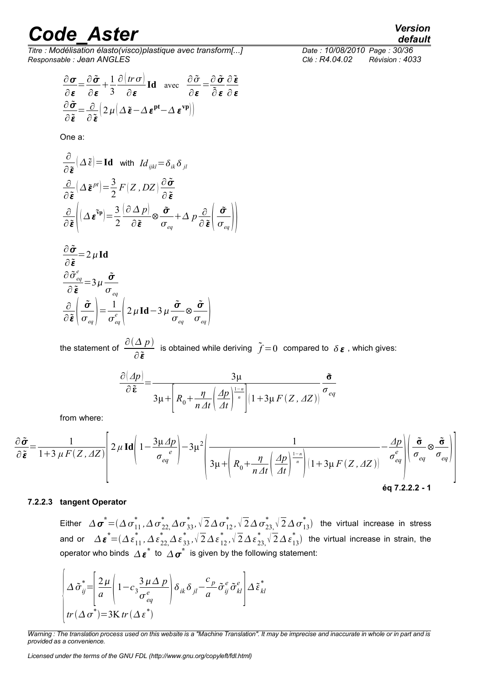*Titre : Modélisation élasto(visco)plastique avec transform[...] Date : 10/08/2010 Page : 30/36 Responsable : Jean ANGLES Clé : R4.04.02 Révision : 4033*

$$
\frac{\partial \sigma}{\partial \varepsilon} = \frac{\partial \tilde{\sigma}}{\partial \varepsilon} + \frac{1}{3} \frac{\partial (tr \sigma)}{\partial \varepsilon} \operatorname{Id} \quad \text{avec} \quad \frac{\partial \tilde{\sigma}}{\partial \varepsilon} = \frac{\partial \tilde{\sigma}}{\partial \varepsilon} \frac{\partial \tilde{\varepsilon}}{\partial \varepsilon}
$$

$$
\frac{\partial \tilde{\sigma}}{\partial \tilde{\varepsilon}} = \frac{\partial}{\partial \tilde{\varepsilon}} \left( 2 \mu \left( \Delta \tilde{\varepsilon} - \Delta \varepsilon^{\text{pt}} - \Delta \varepsilon^{\text{vp}} \right) \right)
$$

One a:

$$
\frac{\partial}{\partial \tilde{\boldsymbol{\varepsilon}}} \left( \Delta \tilde{\boldsymbol{\varepsilon}} \right) = \mathbf{Id} \quad \text{with} \quad Id_{ijkl} = \delta_{ik} \delta_{jl}
$$
\n
$$
\frac{\partial}{\partial \tilde{\boldsymbol{\varepsilon}}} \left( \Delta \tilde{\boldsymbol{\varepsilon}}^{pl} \right) = \frac{3}{2} F(Z, DZ) \frac{\partial \tilde{\boldsymbol{\sigma}}}{\partial \tilde{\boldsymbol{\varepsilon}}}
$$
\n
$$
\frac{\partial}{\partial \tilde{\boldsymbol{\varepsilon}}} \left( \Delta \tilde{\boldsymbol{\varepsilon}}^{sp} \right) = \frac{3}{2} \frac{\partial \Delta p}{\partial \tilde{\boldsymbol{\varepsilon}}} \otimes \frac{\tilde{\boldsymbol{\sigma}}}{\sigma_{eq}} + \Delta p \frac{\partial}{\partial \tilde{\boldsymbol{\varepsilon}}} \left( \frac{\tilde{\boldsymbol{\sigma}}}{\sigma_{eq}} \right) \right)
$$
\n
$$
\frac{\partial \tilde{\boldsymbol{\sigma}}}{\partial \tilde{\boldsymbol{\varepsilon}}} = 2 \mu \mathbf{Id}
$$
\n
$$
\frac{\partial \tilde{\boldsymbol{\sigma}}_{eq}}{\partial \tilde{\boldsymbol{\varepsilon}}} = 3 \mu \frac{\tilde{\boldsymbol{\sigma}}}{\sigma_{eq}}
$$
\n
$$
\frac{\partial}{\partial \tilde{\boldsymbol{\varepsilon}}} \left( \frac{\tilde{\boldsymbol{\sigma}}}{\sigma_{eq}} \right) = \frac{1}{\sigma_{eq}^e} \left( 2 \mu \mathbf{Id} - 3 \mu \frac{\tilde{\boldsymbol{\sigma}}}{\sigma_{eq}} \otimes \frac{\tilde{\boldsymbol{\sigma}}}{\sigma_{eq}} \right)
$$

the statement of  $\frac{\partial (\Delta p)}{\partial p}$ ∂ $\tilde{\pmb{\varepsilon}}$ is obtained while deriving  $\tilde{f} = 0$  compared to  $\delta \epsilon$ , which gives:

$$
\frac{\partial (\Delta p)}{\partial \tilde{\boldsymbol{\varepsilon}}} = \frac{3\mu}{3\mu + \left[R_0 + \frac{\eta}{n\varDelta t} \left(\frac{\varDelta p}{\varDelta t}\right)^{\frac{1-n}{n}}\right] \left(1 + 3\mu F(Z, \varDelta Z)\right)} \frac{\tilde{\boldsymbol{\sigma}}}{\sigma_{eq}}
$$

from where:

$$
\frac{\partial \tilde{\sigma}}{\partial \tilde{\epsilon}} = \frac{1}{1 + 3 \mu F(Z, \Delta Z)} \left[ 2 \mu \operatorname{Id} \left( 1 - \frac{3 \mu \Delta p}{\sigma_{eq}} \right) - 3 \mu^2 \left( \frac{1}{3 \mu + \left( R_0 + \frac{\eta}{n \Delta t} \left( \frac{\Delta p}{\Delta t} \right)^{\frac{1 - n}{n}} \right) \left( 1 + 3 \mu F(Z, \Delta Z) \right)} - \frac{\Delta p}{\sigma_{eq}^e} \right) \left( \frac{\tilde{\sigma}}{\sigma_{eq}} \otimes \frac{\tilde{\sigma}}{\sigma_{eq}} \right) \right]
$$
\n
$$
\text{Eq 7.2.2.2 - 1}
$$

#### **7.2.2.3 tangent Operator**

<span id="page-31-0"></span>Either  $\Delta\bm{\sigma}^*$   $=$   $(\Delta\bm{\sigma}_{11}^*, \Delta\bm{\sigma}_{22}^*, \Delta\bm{\sigma}_{33}^*, \sqrt{2}\Delta\bm{\sigma}_{12}^*, \sqrt{2}\Delta\bm{\sigma}_{23}^*, \sqrt{2}\Delta\bm{\sigma}_{13}^*)$  the virtual increase in stress and or  $\Delta\bm{\varepsilon}^*\!=\!(\Delta\bm{\varepsilon}_{11}^*,\Delta\bm{\varepsilon}_{22,}^*\Delta\bm{\varepsilon}_{33}^*,\sqrt{2}\Delta\bm{\varepsilon}_{12}^*,\sqrt{2}\Delta\bm{\varepsilon}_{23,}^*\sqrt{2}\Delta\bm{\varepsilon}_{13}^*)$  the virtual increase in strain, the operator who binds  $\varDelta \, \boldsymbol{\varepsilon}^*$  to  $\varDelta \, \boldsymbol{\sigma}^*$  is given by the following statement:

$$
\left(\Delta \tilde{\sigma}_{ij}^* = \left| \frac{2\mu}{a} \left( 1 - c_3 \frac{3\mu \Delta p}{\sigma_{eq}^e} \right) \delta_{ik} \delta_{jl} - \frac{c_p}{a} \tilde{\sigma}_{ij}^e \tilde{\sigma}_{kl}^e \right| \Delta \tilde{\epsilon}_{kl}^*
$$
  

$$
tr(\Delta \sigma^*) = 3K tr(\Delta \varepsilon^*)
$$

*Warning : The translation process used on this website is a "Machine Translation". It may be imprecise and inaccurate in whole or in part and is provided as a convenience.*

*Licensed under the terms of the GNU FDL (http://www.gnu.org/copyleft/fdl.html)*

*default*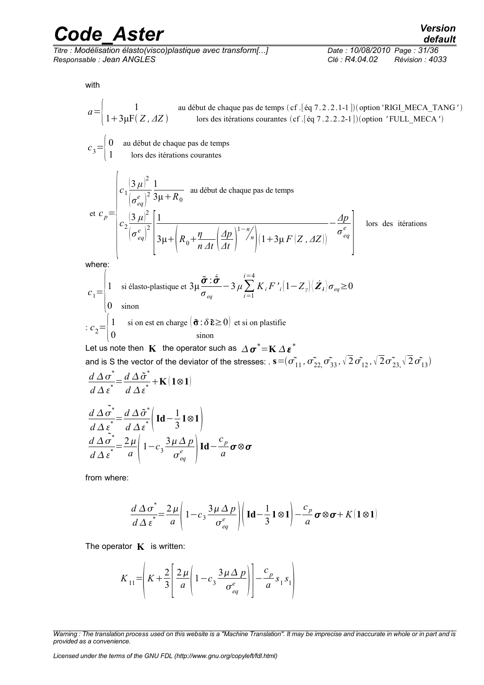*Titre : Modélisation élasto(visco)plastique avec transform[...] Date : 10/08/2010 Page : 31/36 Responsable : Jean ANGLES Clé : R4.04.02 Révision : 4033*

with

$$
a = \begin{pmatrix} 1 & \text{au début de chaque pas de temps (cf. [éq 7.2.2.1-1])(option 'RIGL MECA_TANG') \end{pmatrix}
$$
  
\n
$$
c_3 = \begin{pmatrix} 0 & \text{au début de chaque pas de temps} \\ 1 & \text{loss des iterations courantes} \end{pmatrix}
$$
  
\n
$$
c_4 = \begin{pmatrix} 0 & \text{au début de chaque pas de temps} \\ 1 & \text{loss des iterations courantes} \end{pmatrix}
$$
  
\n
$$
c_5 = \begin{pmatrix} 0 & \text{au début de chaque pas de temps} \\ 1 & \text{loss des iterations courantes} \end{pmatrix}
$$
  
\n
$$
c_6 = \begin{pmatrix} 0 & \text{au début de chaque pas de temps} \\ \frac{1}{2} & \frac{1}{2} & \frac{1}{2} \\ \frac{1}{2} & \frac{1}{2} & \frac{1}{2} \end{pmatrix}
$$
  
\n
$$
c_7 = \begin{pmatrix} 0 & \text{au début de chaque pas de temps} \\ 1 & \text{si élasto-plastique et } 3\mu \frac{\tilde{\sigma} \cdot \dot{\tilde{\sigma}}}{\sigma_{eq}} - 3\mu \sum_{i=1}^{i=4} K_i F'_{i} (1 - Z_i) \tilde{Z}_i \end{pmatrix} \tilde{Z}_i \tilde{Z}_i
$$
  
\n
$$
c_8 = \begin{pmatrix} 1 & \text{si élasto-plastique et } 3\mu \frac{\tilde{\sigma} \cdot \dot{\tilde{\sigma}}}{\sigma_{eq}} - 3\mu \sum_{i=1}^{i=4} K_i F'_{i} (1 - Z_i) \tilde{Z}_i \end{pmatrix} \tilde{Z}_i \tilde{Z}_i \tilde{Z}_i
$$
  
\n
$$
c_6 = \begin{pmatrix} 1 & \text{sin est en charge } (\tilde{\sigma} \cdot \delta \tilde{\epsilon} \ge 0) \text{ et si on plastic} \\ 0 & \text{sinon} \end{pmatrix}
$$
  
\nLet us note then **K** the operator such as  $\Delta \sigma^* = K \Delta \varepsilon^*$   
\nand is S the vector of the deviator of the stresses:  $s = (\tilde{\sigma}_{11}^*, \tilde{\sigma}_{22}, \tilde{\sigma}_{33}, \sqrt{2} \tilde{\sigma}_{12}, \sqrt{2} \tilde$ 

from where:

 $rac{d \Delta \sigma}{d \Delta \varepsilon} = \frac{2 \mu}{a}$ 

$$
\frac{d\Delta\sigma^*}{d\Delta\varepsilon^*} = \frac{2\mu}{a}\left(1-c_3\frac{3\mu\Delta p}{\sigma_{eq}^e}\right)\left(\mathbf{Id} - \frac{1}{3}\mathbf{1}\otimes\mathbf{1}\right) - \frac{c_p}{a}\boldsymbol{\sigma}\otimes\boldsymbol{\sigma} + K(\mathbf{1}\otimes\mathbf{1})
$$

The operator  $\mathbf{K}$  is written:

 $\frac{d^2\mu}{a}$  1 -  $c_3$   $\frac{3\mu\Delta p}{\sigma_{eq}^e}$ 

 $\frac{d^2 P}{\sigma_{eq}^e}$  **Id** –

*c p a*

⊗

$$
K_{11} = \left(K + \frac{2}{3} \left[ \frac{2 \mu}{a} \left( 1 - c_3 \frac{3 \mu \Delta p}{\sigma_{eq}^e} \right) \right] - \frac{c_p}{a} s_1 s_1 \right)
$$

*Licensed under the terms of the GNU FDL (http://www.gnu.org/copyleft/fdl.html)*

*Warning : The translation process used on this website is a "Machine Translation". It may be imprecise and inaccurate in whole or in part and is provided as a convenience.*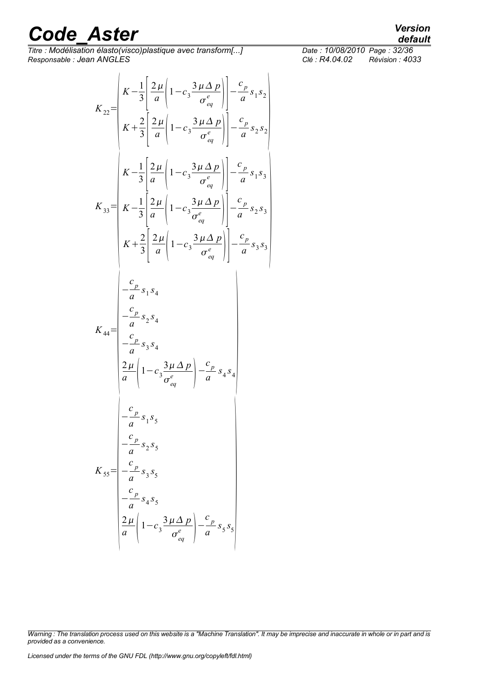*Code* Aster<br>Titre : Modélisation élasto(visco)plastique avec transform[...] *Date : 10/08/2010 Page : 32/36* 

*Titre : Modélisation élasto(visco)plastique avec transform[...] Date : 10/08/2010 Page : 32/36 Responsable : Jean ANGLES Clé : R4.04.02 Révision : 4033*

$$
K_{22} = \begin{pmatrix} K - \frac{1}{3} \left[ \frac{2\mu}{a} \left( 1 - c_3 \frac{3\mu \Delta p}{\sigma_{eq}^e} \right) \right] - \frac{c_p}{a} s_1 s_2 \\ K + \frac{2}{3} \left[ \frac{2\mu}{a} \left( 1 - c_3 \frac{3\mu \Delta p}{\sigma_{eq}^e} \right) \right] - \frac{c_p}{a} s_2 s_2 \end{pmatrix}
$$
  
\n
$$
K_{33} = \begin{pmatrix} K - \frac{1}{3} \left[ \frac{2\mu}{a} \left( 1 - c_3 \frac{3\mu \Delta p}{\sigma_{eq}^e} \right) \right] - \frac{c_p}{a} s_1 s_3 \\ K - \frac{1}{3} \left[ \frac{2\mu}{a} \left( 1 - c_3 \frac{3\mu \Delta p}{\sigma_{eq}^e} \right) \right] - \frac{c_p}{a} s_2 s_3 \end{pmatrix}
$$
  
\n
$$
K + \frac{2}{3} \left[ \frac{2\mu}{a} \left( 1 - c_3 \frac{3\mu \Delta p}{\sigma_{eq}^e} \right) \right] - \frac{c_p}{a} s_3 s_3
$$
  
\n
$$
K_{44} = \begin{pmatrix} \frac{c_p}{a} s_1 s_4 \\ - \frac{c_p}{a} s_3 s_4 \\ - \frac{c_p}{a} s_3 s_5 \end{pmatrix}
$$
  
\n
$$
K_{55} = \begin{pmatrix} \frac{c_p}{a} s_1 s_5 \\ - \frac{c_p}{a} s_2 s_5 \\ - \frac{c_p}{a} s_4 s_5 \\ - \frac{c_p}{a} s_4 s_5 \end{pmatrix}
$$
  
\n
$$
K_{55} = \begin{pmatrix} \frac{c_p}{a} s_4 s_5 \\ - \frac{c_p}{a} s_4 s_5 \\ \frac{2\mu}{a} \left( 1 - c_3 \frac{3\mu \Delta p}{\sigma_{eq}^e} \right) - \frac{c_p}{a} s_5 s_5 \end{pmatrix}
$$

1 *s* 2

 $\frac{1}{3}$ 

| Warning : The translation process used on this website is a "Machine Translation". It may be imprecise and inaccurate in whole or in part and is |  |  |
|--------------------------------------------------------------------------------------------------------------------------------------------------|--|--|
| provided as a convenience.                                                                                                                       |  |  |

*default*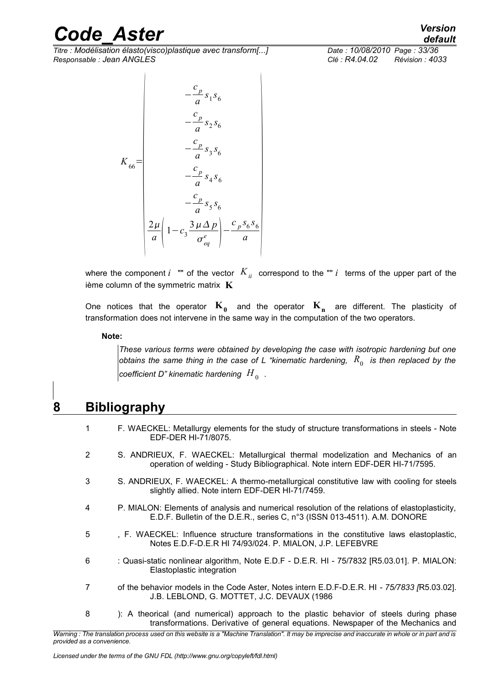*Titre : Modélisation élasto(visco)plastique avec transform[...] Date : 10/08/2010 Page : 33/36 Responsable : Jean ANGLES Clé : R4.04.02 Révision : 4033*

$$
s_1 s_6
$$
\n
$$
s_2 s_6
$$

 $K_{66}$ =  $\begin{vmatrix} 1 & 1 \end{vmatrix}$ − *c p a s* 2 6 − *c p a s* 3 *s* 6 − *c p a*  $s_4 s_6$ − *c p a*  $s_5 s_6$  $2\mu$  $\frac{2\mu}{a} \left(1-c_3 \frac{3\mu\Delta p}{\sigma_{eq}^e}\right)$  $\sigma_{_{eq}}^{e}$   $\parallel$ −  $c_p s_6 s_6$  $\left| \frac{a}{a} \right|$ 

− *c p a*

*default*

where the component *i* "" of the vector  $K_{ii}$  correspond to the "" *i* terms of the upper part of the ième column of the symmetric matrix **K**

One notices that the operator  $\mathbf{K_0}$  and the operator  $\mathbf{K_n}$  are different. The plasticity of transformation does not intervene in the same way in the computation of the two operators.

#### **Note:**

*These various terms were obtained by developing the case with isotropic hardening but one obtains the same thing in the case of <sup>L</sup> "kinematic hardening, R*<sup>0</sup> *is then replaced by the*  $\,$  coefficient D" kinematic hardening  $\,H_{\,0}\,$  .

### **8 Bibliography**

- <span id="page-34-0"></span>1 F. WAECKEL: Metallurgy elements for the study of structure transformations in steels - Note EDF-DER HI-71/8075.
- 2 S. ANDRIEUX, F. WAECKEL: Metallurgical thermal modelization and Mechanics of an operation of welding - Study Bibliographical. Note intern EDF-DER HI-71/7595.
- 3 S. ANDRIEUX, F. WAECKEL: A thermo-metallurgical constitutive law with cooling for steels slightly allied. Note intern EDF-DER HI-71/7459.
- 4 P. MIALON: Elements of analysis and numerical resolution of the relations of elastoplasticity, E.D.F. Bulletin of the D.E.R., series C, n°3 (ISSN 013-4511). A.M. DONORE
- 5 , F. WAECKEL: Influence structure transformations in the constitutive laws elastoplastic, Notes E.D.F-D.E.R HI 74/93/024. P. MIALON, J.P. LEFEBVRE
- 6 : Quasi-static nonlinear algorithm, Note E.D.F D.E.R. HI 75/7832 [R5.03.01]. P. MIALON: Elastoplastic integration
- 7 of the behavior models in the Code Aster, Notes intern E.D.F-D.E.R. HI  *75/7833 [*R5.03.02]. J.B. LEBLOND, G. MOTTET, J.C. DEVAUX (1986
- 8 ): A theorical (and numerical) approach to the plastic behavior of steels during phase transformations. Derivative of general equations. Newspaper of the Mechanics and

*Warning : The translation process used on this website is a "Machine Translation". It may be imprecise and inaccurate in whole or in part and is provided as a convenience.*